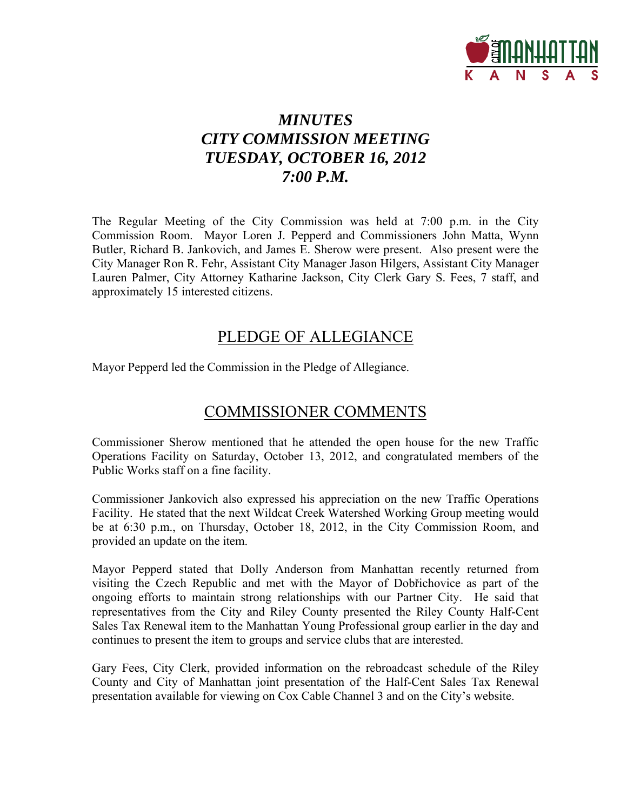

# *MINUTES CITY COMMISSION MEETING TUESDAY, OCTOBER 16, 2012 7:00 P.M.*

The Regular Meeting of the City Commission was held at 7:00 p.m. in the City Commission Room. Mayor Loren J. Pepperd and Commissioners John Matta, Wynn Butler, Richard B. Jankovich, and James E. Sherow were present. Also present were the City Manager Ron R. Fehr, Assistant City Manager Jason Hilgers, Assistant City Manager Lauren Palmer, City Attorney Katharine Jackson, City Clerk Gary S. Fees, 7 staff, and approximately 15 interested citizens.

# PLEDGE OF ALLEGIANCE

Mayor Pepperd led the Commission in the Pledge of Allegiance.

# COMMISSIONER COMMENTS

Commissioner Sherow mentioned that he attended the open house for the new Traffic Operations Facility on Saturday, October 13, 2012, and congratulated members of the Public Works staff on a fine facility.

Commissioner Jankovich also expressed his appreciation on the new Traffic Operations Facility. He stated that the next Wildcat Creek Watershed Working Group meeting would be at 6:30 p.m., on Thursday, October 18, 2012, in the City Commission Room, and provided an update on the item.

Mayor Pepperd stated that Dolly Anderson from Manhattan recently returned from visiting the Czech Republic and met with the Mayor of Dobřichovice as part of the ongoing efforts to maintain strong relationships with our Partner City. He said that representatives from the City and Riley County presented the Riley County Half-Cent Sales Tax Renewal item to the Manhattan Young Professional group earlier in the day and continues to present the item to groups and service clubs that are interested.

Gary Fees, City Clerk, provided information on the rebroadcast schedule of the Riley County and City of Manhattan joint presentation of the Half-Cent Sales Tax Renewal presentation available for viewing on Cox Cable Channel 3 and on the City's website.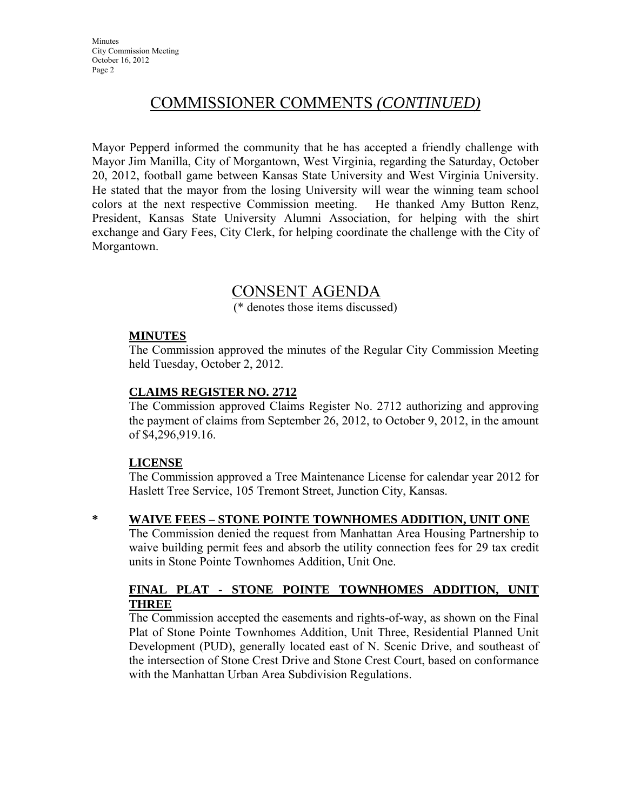# COMMISSIONER COMMENTS *(CONTINUED)*

Mayor Pepperd informed the community that he has accepted a friendly challenge with Mayor Jim Manilla, City of Morgantown, West Virginia, regarding the Saturday, October 20, 2012, football game between Kansas State University and West Virginia University. He stated that the mayor from the losing University will wear the winning team school colors at the next respective Commission meeting. He thanked Amy Button Renz, President, Kansas State University Alumni Association, for helping with the shirt exchange and Gary Fees, City Clerk, for helping coordinate the challenge with the City of Morgantown.

# CONSENT AGENDA

(\* denotes those items discussed)

## **MINUTES**

The Commission approved the minutes of the Regular City Commission Meeting held Tuesday, October 2, 2012.

## **CLAIMS REGISTER NO. 2712**

The Commission approved Claims Register No. 2712 authorizing and approving the payment of claims from September 26, 2012, to October 9, 2012, in the amount of \$4,296,919.16.

#### **LICENSE**

The Commission approved a Tree Maintenance License for calendar year 2012 for Haslett Tree Service, 105 Tremont Street, Junction City, Kansas.

## **\* WAIVE FEES – STONE POINTE TOWNHOMES ADDITION, UNIT ONE**

The Commission denied the request from Manhattan Area Housing Partnership to waive building permit fees and absorb the utility connection fees for 29 tax credit units in Stone Pointe Townhomes Addition, Unit One.

## **FINAL PLAT - STONE POINTE TOWNHOMES ADDITION, UNIT THREE**

The Commission accepted the easements and rights-of-way, as shown on the Final Plat of Stone Pointe Townhomes Addition, Unit Three, Residential Planned Unit Development (PUD), generally located east of N. Scenic Drive, and southeast of the intersection of Stone Crest Drive and Stone Crest Court, based on conformance with the Manhattan Urban Area Subdivision Regulations.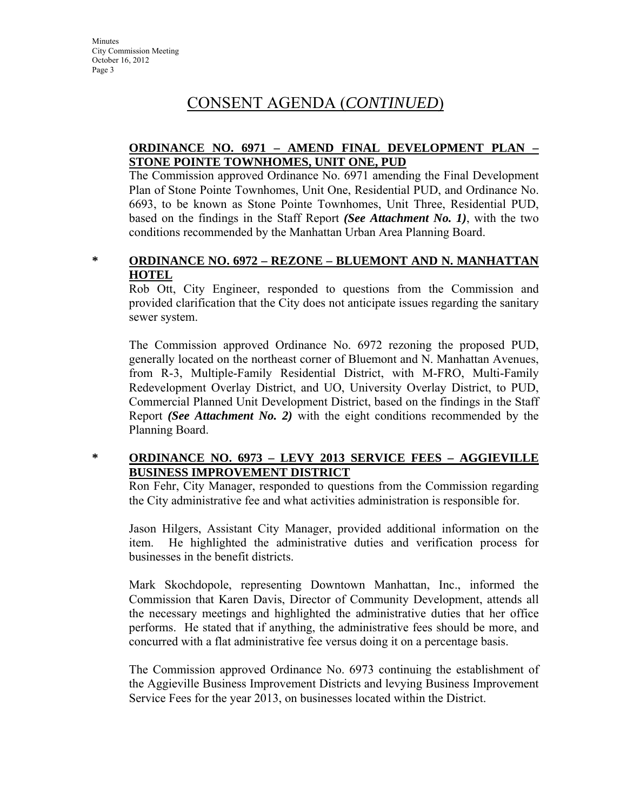## **ORDINANCE NO. 6971 – AMEND FINAL DEVELOPMENT PLAN – STONE POINTE TOWNHOMES, UNIT ONE, PUD**

The Commission approved Ordinance No. 6971 amending the Final Development Plan of Stone Pointe Townhomes, Unit One, Residential PUD, and Ordinance No. 6693, to be known as Stone Pointe Townhomes, Unit Three, Residential PUD, based on the findings in the Staff Report *(See Attachment No. 1)*, with the two conditions recommended by the Manhattan Urban Area Planning Board.

# **\* ORDINANCE NO. 6972 – REZONE – BLUEMONT AND N. MANHATTAN HOTEL**

Rob Ott, City Engineer, responded to questions from the Commission and provided clarification that the City does not anticipate issues regarding the sanitary sewer system.

The Commission approved Ordinance No. 6972 rezoning the proposed PUD, generally located on the northeast corner of Bluemont and N. Manhattan Avenues, from R-3, Multiple-Family Residential District, with M-FRO, Multi-Family Redevelopment Overlay District, and UO, University Overlay District, to PUD, Commercial Planned Unit Development District, based on the findings in the Staff Report *(See Attachment No. 2)* with the eight conditions recommended by the Planning Board.

# **\* ORDINANCE NO. 6973 – LEVY 2013 SERVICE FEES – AGGIEVILLE BUSINESS IMPROVEMENT DISTRICT**

Ron Fehr, City Manager, responded to questions from the Commission regarding the City administrative fee and what activities administration is responsible for.

Jason Hilgers, Assistant City Manager, provided additional information on the item. He highlighted the administrative duties and verification process for businesses in the benefit districts.

Mark Skochdopole, representing Downtown Manhattan, Inc., informed the Commission that Karen Davis, Director of Community Development, attends all the necessary meetings and highlighted the administrative duties that her office performs. He stated that if anything, the administrative fees should be more, and concurred with a flat administrative fee versus doing it on a percentage basis.

The Commission approved Ordinance No. 6973 continuing the establishment of the Aggieville Business Improvement Districts and levying Business Improvement Service Fees for the year 2013, on businesses located within the District.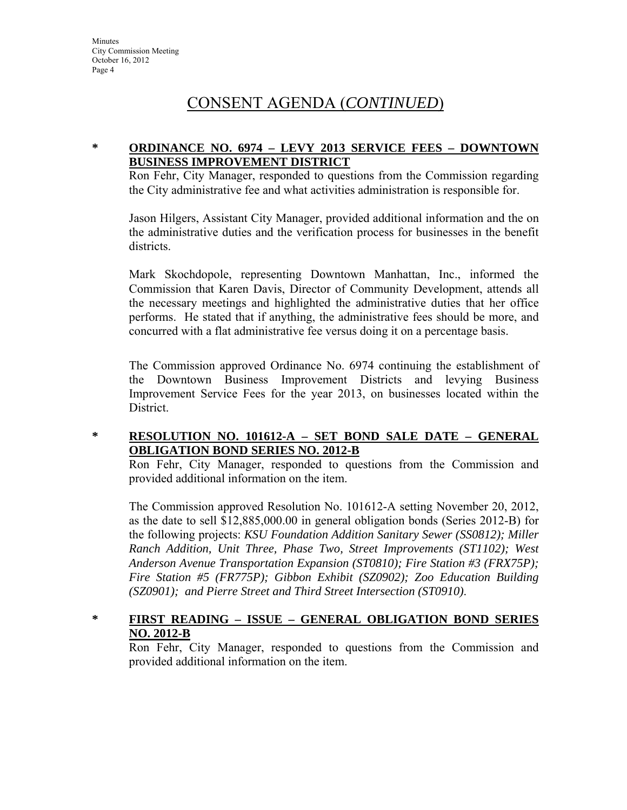## **\* ORDINANCE NO. 6974 – LEVY 2013 SERVICE FEES – DOWNTOWN BUSINESS IMPROVEMENT DISTRICT**

Ron Fehr, City Manager, responded to questions from the Commission regarding the City administrative fee and what activities administration is responsible for.

Jason Hilgers, Assistant City Manager, provided additional information and the on the administrative duties and the verification process for businesses in the benefit districts.

Mark Skochdopole, representing Downtown Manhattan, Inc., informed the Commission that Karen Davis, Director of Community Development, attends all the necessary meetings and highlighted the administrative duties that her office performs. He stated that if anything, the administrative fees should be more, and concurred with a flat administrative fee versus doing it on a percentage basis.

The Commission approved Ordinance No. 6974 continuing the establishment of the Downtown Business Improvement Districts and levying Business Improvement Service Fees for the year 2013, on businesses located within the District.

## **\* RESOLUTION NO. 101612-A – SET BOND SALE DATE – GENERAL OBLIGATION BOND SERIES NO. 2012-B**

Ron Fehr, City Manager, responded to questions from the Commission and provided additional information on the item.

The Commission approved Resolution No. 101612-A setting November 20, 2012, as the date to sell \$12,885,000.00 in general obligation bonds (Series 2012-B) for the following projects: *KSU Foundation Addition Sanitary Sewer (SS0812); Miller Ranch Addition, Unit Three, Phase Two, Street Improvements (ST1102); West Anderson Avenue Transportation Expansion (ST0810); Fire Station #3 (FRX75P); Fire Station #5 (FR775P); Gibbon Exhibit (SZ0902); Zoo Education Building (SZ0901); and Pierre Street and Third Street Intersection (ST0910)*.

# **\* FIRST READING – ISSUE – GENERAL OBLIGATION BOND SERIES NO. 2012-B**

Ron Fehr, City Manager, responded to questions from the Commission and provided additional information on the item.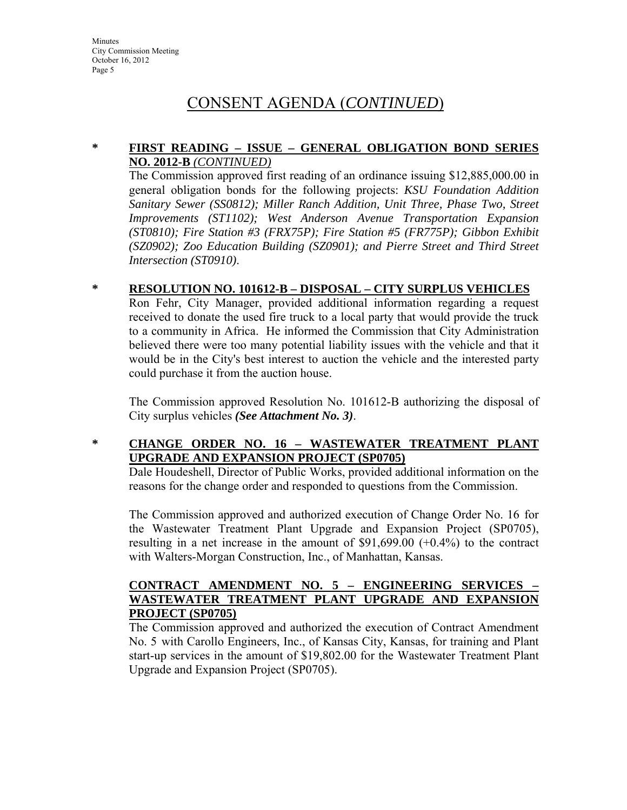## **\* FIRST READING – ISSUE – GENERAL OBLIGATION BOND SERIES NO. 2012-B** *(CONTINUED)*

The Commission approved first reading of an ordinance issuing \$12,885,000.00 in general obligation bonds for the following projects: *KSU Foundation Addition Sanitary Sewer (SS0812); Miller Ranch Addition, Unit Three, Phase Two, Street Improvements (ST1102); West Anderson Avenue Transportation Expansion (ST0810); Fire Station #3 (FRX75P); Fire Station #5 (FR775P); Gibbon Exhibit (SZ0902); Zoo Education Building (SZ0901); and Pierre Street and Third Street Intersection (ST0910)*.

# **\* RESOLUTION NO. 101612-B – DISPOSAL – CITY SURPLUS VEHICLES**

Ron Fehr, City Manager, provided additional information regarding a request received to donate the used fire truck to a local party that would provide the truck to a community in Africa. He informed the Commission that City Administration believed there were too many potential liability issues with the vehicle and that it would be in the City's best interest to auction the vehicle and the interested party could purchase it from the auction house.

The Commission approved Resolution No. 101612-B authorizing the disposal of City surplus vehicles *(See Attachment No. 3)*.

# **\* CHANGE ORDER NO. 16 – WASTEWATER TREATMENT PLANT UPGRADE AND EXPANSION PROJECT (SP0705)**

Dale Houdeshell, Director of Public Works, provided additional information on the reasons for the change order and responded to questions from the Commission.

The Commission approved and authorized execution of Change Order No. 16 for the Wastewater Treatment Plant Upgrade and Expansion Project (SP0705), resulting in a net increase in the amount of \$91,699.00 (+0.4%) to the contract with Walters-Morgan Construction, Inc., of Manhattan, Kansas.

# **CONTRACT AMENDMENT NO. 5 – ENGINEERING SERVICES – WASTEWATER TREATMENT PLANT UPGRADE AND EXPANSION PROJECT (SP0705)**

The Commission approved and authorized the execution of Contract Amendment No. 5 with Carollo Engineers, Inc., of Kansas City, Kansas, for training and Plant start-up services in the amount of \$19,802.00 for the Wastewater Treatment Plant Upgrade and Expansion Project (SP0705).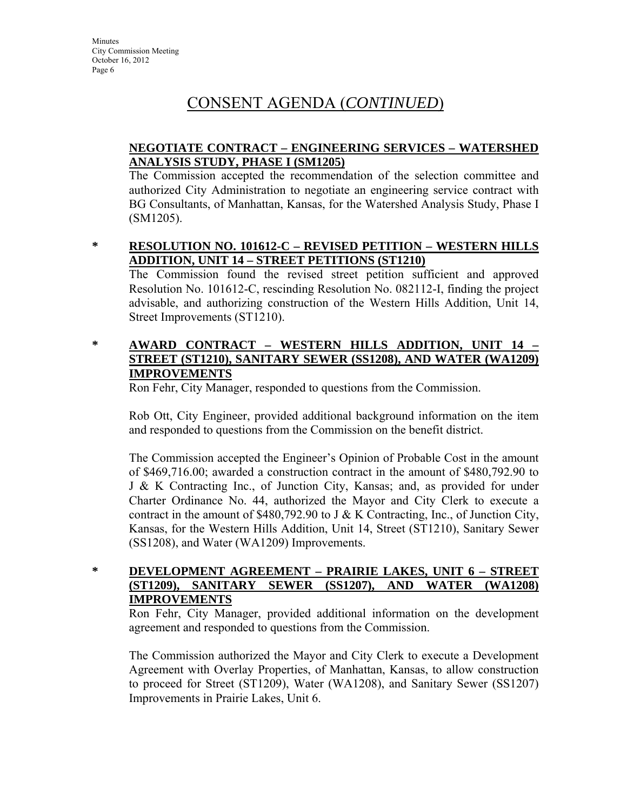# **NEGOTIATE CONTRACT – ENGINEERING SERVICES – WATERSHED ANALYSIS STUDY, PHASE I (SM1205)**

The Commission accepted the recommendation of the selection committee and authorized City Administration to negotiate an engineering service contract with BG Consultants, of Manhattan, Kansas, for the Watershed Analysis Study, Phase I (SM1205).

# **\* RESOLUTION NO. 101612-C – REVISED PETITION – WESTERN HILLS ADDITION, UNIT 14 – STREET PETITIONS (ST1210)**

The Commission found the revised street petition sufficient and approved Resolution No. 101612-C, rescinding Resolution No. 082112-I, finding the project advisable, and authorizing construction of the Western Hills Addition, Unit 14, Street Improvements (ST1210).

# **\* AWARD CONTRACT – WESTERN HILLS ADDITION, UNIT 14 – STREET (ST1210), SANITARY SEWER (SS1208), AND WATER (WA1209) IMPROVEMENTS**

Ron Fehr, City Manager, responded to questions from the Commission.

Rob Ott, City Engineer, provided additional background information on the item and responded to questions from the Commission on the benefit district.

The Commission accepted the Engineer's Opinion of Probable Cost in the amount of \$469,716.00; awarded a construction contract in the amount of \$480,792.90 to J & K Contracting Inc., of Junction City, Kansas; and, as provided for under Charter Ordinance No. 44, authorized the Mayor and City Clerk to execute a contract in the amount of \$480,792.90 to J & K Contracting, Inc., of Junction City, Kansas, for the Western Hills Addition, Unit 14, Street (ST1210), Sanitary Sewer (SS1208), and Water (WA1209) Improvements.

# **\* DEVELOPMENT AGREEMENT – PRAIRIE LAKES, UNIT 6 – STREET (ST1209), SANITARY SEWER (SS1207), AND WATER (WA1208) IMPROVEMENTS**

Ron Fehr, City Manager, provided additional information on the development agreement and responded to questions from the Commission.

The Commission authorized the Mayor and City Clerk to execute a Development Agreement with Overlay Properties, of Manhattan, Kansas, to allow construction to proceed for Street (ST1209), Water (WA1208), and Sanitary Sewer (SS1207) Improvements in Prairie Lakes, Unit 6.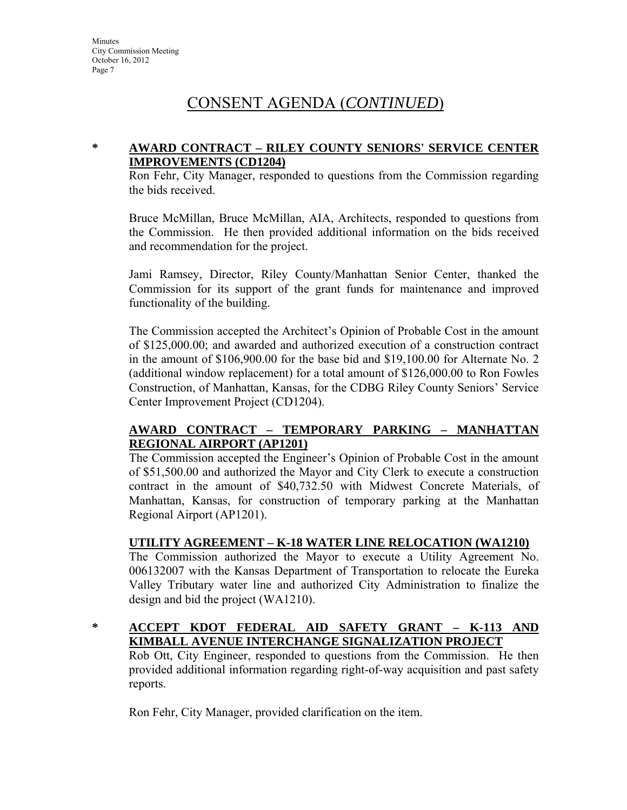## **\* AWARD CONTRACT – RILEY COUNTY SENIORS' SERVICE CENTER IMPROVEMENTS (CD1204)**

Ron Fehr, City Manager, responded to questions from the Commission regarding the bids received.

Bruce McMillan, Bruce McMillan, AIA, Architects, responded to questions from the Commission. He then provided additional information on the bids received and recommendation for the project.

Jami Ramsey, Director, Riley County/Manhattan Senior Center, thanked the Commission for its support of the grant funds for maintenance and improved functionality of the building.

The Commission accepted the Architect's Opinion of Probable Cost in the amount of \$125,000.00; and awarded and authorized execution of a construction contract in the amount of \$106,900.00 for the base bid and \$19,100.00 for Alternate No. 2 (additional window replacement) for a total amount of \$126,000.00 to Ron Fowles Construction, of Manhattan, Kansas, for the CDBG Riley County Seniors' Service Center Improvement Project (CD1204).

## **AWARD CONTRACT – TEMPORARY PARKING – MANHATTAN REGIONAL AIRPORT (AP1201)**

The Commission accepted the Engineer's Opinion of Probable Cost in the amount of \$51,500.00 and authorized the Mayor and City Clerk to execute a construction contract in the amount of \$40,732.50 with Midwest Concrete Materials, of Manhattan, Kansas, for construction of temporary parking at the Manhattan Regional Airport (AP1201).

## **UTILITY AGREEMENT – K-18 WATER LINE RELOCATION (WA1210)**

The Commission authorized the Mayor to execute a Utility Agreement No. 006132007 with the Kansas Department of Transportation to relocate the Eureka Valley Tributary water line and authorized City Administration to finalize the design and bid the project (WA1210).

## **\* ACCEPT KDOT FEDERAL AID SAFETY GRANT – K-113 AND KIMBALL AVENUE INTERCHANGE SIGNALIZATION PROJECT**

Rob Ott, City Engineer, responded to questions from the Commission. He then provided additional information regarding right-of-way acquisition and past safety reports.

Ron Fehr, City Manager, provided clarification on the item.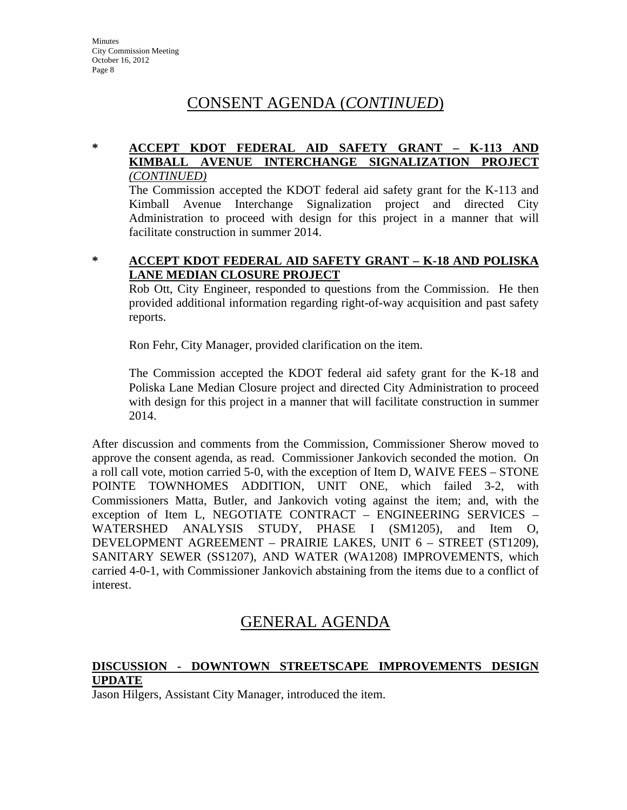# **\* ACCEPT KDOT FEDERAL AID SAFETY GRANT – K-113 AND KIMBALL AVENUE INTERCHANGE SIGNALIZATION PROJECT** *(CONTINUED)*

The Commission accepted the KDOT federal aid safety grant for the K-113 and Kimball Avenue Interchange Signalization project and directed City Administration to proceed with design for this project in a manner that will facilitate construction in summer 2014.

### **\* ACCEPT KDOT FEDERAL AID SAFETY GRANT – K-18 AND POLISKA LANE MEDIAN CLOSURE PROJECT**

Rob Ott, City Engineer, responded to questions from the Commission. He then provided additional information regarding right-of-way acquisition and past safety reports.

Ron Fehr, City Manager, provided clarification on the item.

The Commission accepted the KDOT federal aid safety grant for the K-18 and Poliska Lane Median Closure project and directed City Administration to proceed with design for this project in a manner that will facilitate construction in summer 2014.

After discussion and comments from the Commission, Commissioner Sherow moved to approve the consent agenda, as read. Commissioner Jankovich seconded the motion. On a roll call vote, motion carried 5-0, with the exception of Item D, WAIVE FEES – STONE POINTE TOWNHOMES ADDITION, UNIT ONE, which failed 3-2, with Commissioners Matta, Butler, and Jankovich voting against the item; and, with the exception of Item L, NEGOTIATE CONTRACT – ENGINEERING SERVICES – WATERSHED ANALYSIS STUDY, PHASE I (SM1205), and Item O, DEVELOPMENT AGREEMENT – PRAIRIE LAKES, UNIT 6 – STREET (ST1209), SANITARY SEWER (SS1207), AND WATER (WA1208) IMPROVEMENTS, which carried 4-0-1, with Commissioner Jankovich abstaining from the items due to a conflict of interest.

# GENERAL AGENDA

# **DISCUSSION - DOWNTOWN STREETSCAPE IMPROVEMENTS DESIGN UPDATE**

Jason Hilgers, Assistant City Manager, introduced the item.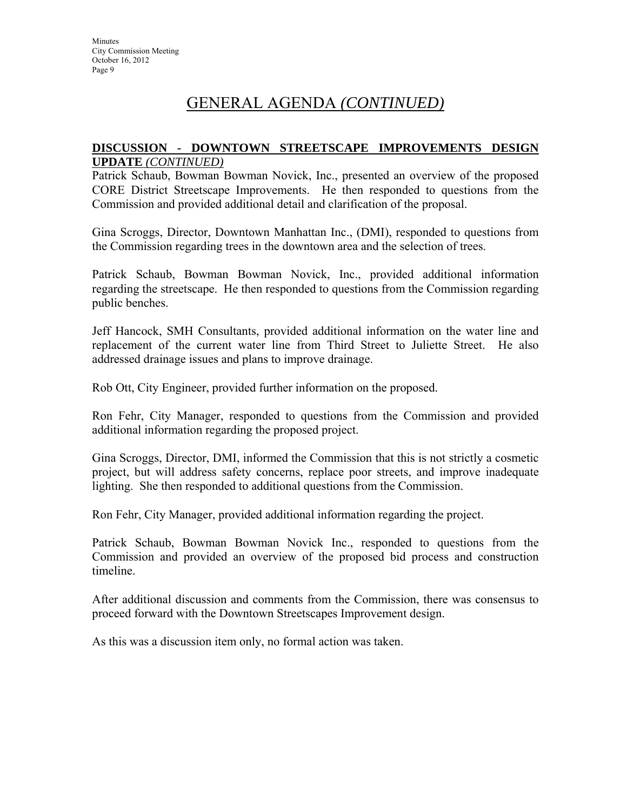# GENERAL AGENDA *(CONTINUED)*

### **DISCUSSION - DOWNTOWN STREETSCAPE IMPROVEMENTS DESIGN UPDATE** *(CONTINUED)*

Patrick Schaub, Bowman Bowman Novick, Inc., presented an overview of the proposed CORE District Streetscape Improvements. He then responded to questions from the Commission and provided additional detail and clarification of the proposal.

Gina Scroggs, Director, Downtown Manhattan Inc., (DMI), responded to questions from the Commission regarding trees in the downtown area and the selection of trees.

Patrick Schaub, Bowman Bowman Novick, Inc., provided additional information regarding the streetscape. He then responded to questions from the Commission regarding public benches.

Jeff Hancock, SMH Consultants, provided additional information on the water line and replacement of the current water line from Third Street to Juliette Street. He also addressed drainage issues and plans to improve drainage.

Rob Ott, City Engineer, provided further information on the proposed.

Ron Fehr, City Manager, responded to questions from the Commission and provided additional information regarding the proposed project.

Gina Scroggs, Director, DMI, informed the Commission that this is not strictly a cosmetic project, but will address safety concerns, replace poor streets, and improve inadequate lighting. She then responded to additional questions from the Commission.

Ron Fehr, City Manager, provided additional information regarding the project.

Patrick Schaub, Bowman Bowman Novick Inc., responded to questions from the Commission and provided an overview of the proposed bid process and construction timeline.

After additional discussion and comments from the Commission, there was consensus to proceed forward with the Downtown Streetscapes Improvement design.

As this was a discussion item only, no formal action was taken.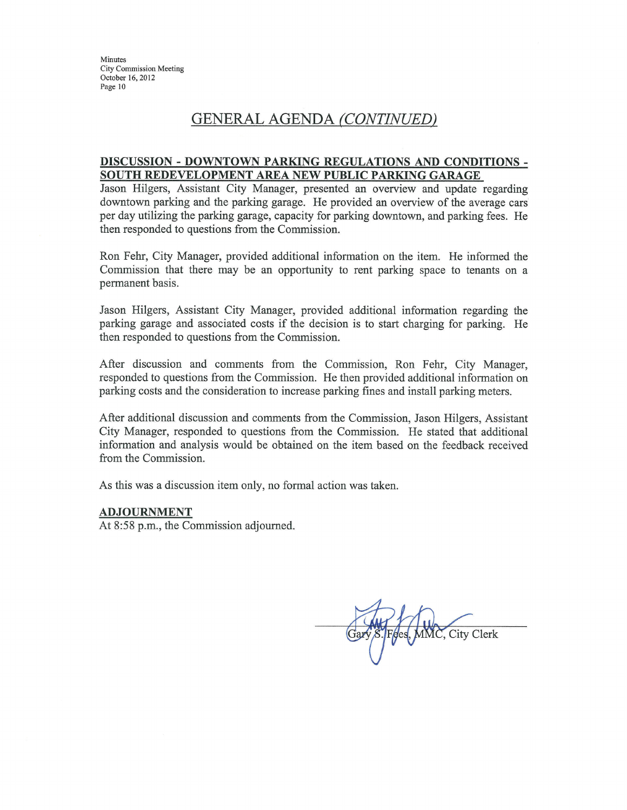Minutes City Commission Meeting October 16, 2012 Page 10

# GENERAL AGENDA (CONTINUED)

#### DISCUSSION - DOWNTOWN PARKING REGULATIONS AND CONDITIONS -SOUTH REDEVELOPMENT AREA NEW PUBLIC PARKING GARAGE

Jason Hilgers, Assistant City Manager, presented an overview and update regarding downtown parking and the parking garage. He provided an overview of the average cars per day utilizing the parking garage, capacity for parking downtown, and parking fees. He then responded to questions from the Commission.

Ron Fehr, City Manager, provided additional information on the item. He informed the Commission that there may be an opportunity to rent parking space to tenants on a permanent basis.

Jason Hilgers, Assistant City Manager, provided additional information regarding the parking garage and associated costs if the decision is to start charging for parking. He then responded to questions from the Commission.

After discussion and comments from the Commission, Ron Fehr, City Manager, responded to questions from the Commission. He then provided additional information on parking costs and the consideration to increase parking fines and install parking meters.

After additional discussion and comments from the Commission, Jason Hilgers, Assistant City Manager, responded to questions from the Commission. He stated that additional information and analysis would be obtained on the item based on the feedback received from the Commission.

As this was a discussion item only, no formal action was taken.

#### **ADJOURNMENT**

At 8:58 p.m., the Commission adjourned.

Fees, MMC, City Clerk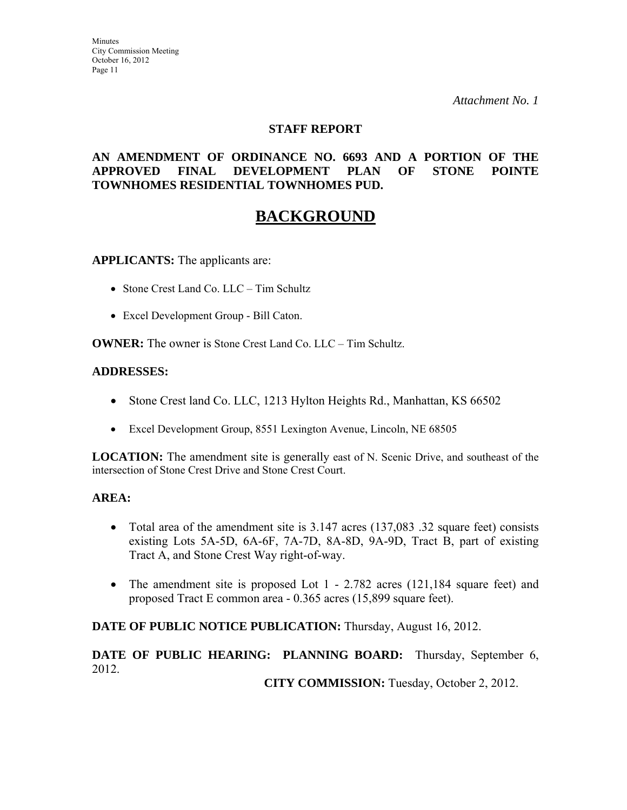### **STAFF REPORT**

## **AN AMENDMENT OF ORDINANCE NO. 6693 AND A PORTION OF THE APPROVED FINAL DEVELOPMENT PLAN OF STONE POINTE TOWNHOMES RESIDENTIAL TOWNHOMES PUD.**

# **BACKGROUND**

**APPLICANTS:** The applicants are:

- Stone Crest Land Co. LLC Tim Schultz
- Excel Development Group Bill Caton.

**OWNER:** The owner is Stone Crest Land Co. LLC – Tim Schultz.

#### **ADDRESSES:**

- Stone Crest land Co. LLC, 1213 Hylton Heights Rd., Manhattan, KS 66502
- Excel Development Group, 8551 Lexington Avenue, Lincoln, NE 68505

**LOCATION:** The amendment site is generally east of N. Scenic Drive, and southeast of the intersection of Stone Crest Drive and Stone Crest Court.

#### **AREA:**

- Total area of the amendment site is 3.147 acres (137,083 .32 square feet) consists existing Lots 5A-5D, 6A-6F, 7A-7D, 8A-8D, 9A-9D, Tract B, part of existing Tract A, and Stone Crest Way right-of-way.
- The amendment site is proposed Lot 1 2.782 acres (121,184 square feet) and proposed Tract E common area - 0.365 acres (15,899 square feet).

#### **DATE OF PUBLIC NOTICE PUBLICATION:** Thursday, August 16, 2012.

# **DATE OF PUBLIC HEARING: PLANNING BOARD:** Thursday, September 6, 2012.

**CITY COMMISSION:** Tuesday, October 2, 2012.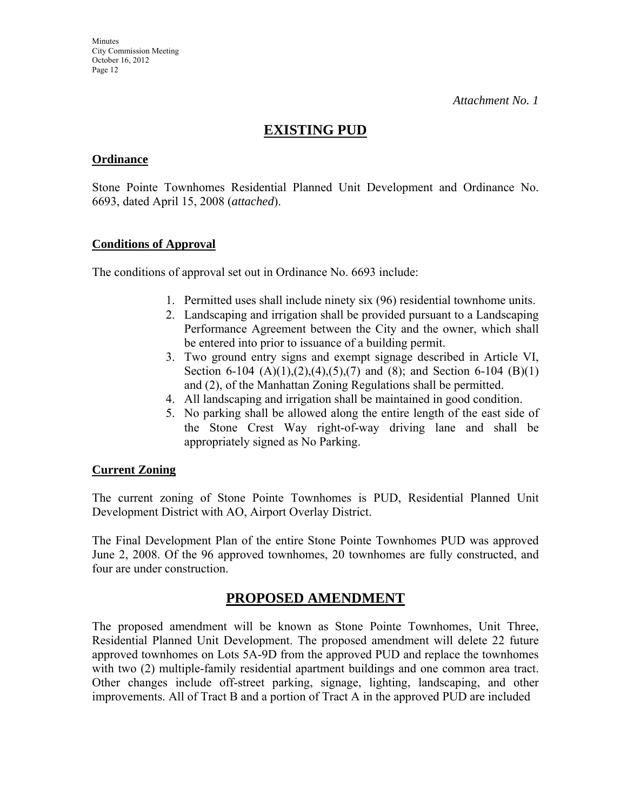# **EXISTING PUD**

### **Ordinance**

Stone Pointe Townhomes Residential Planned Unit Development and Ordinance No. 6693, dated April 15, 2008 (*attached*).

## **Conditions of Approval**

The conditions of approval set out in Ordinance No. 6693 include:

- 1. Permitted uses shall include ninety six (96) residential townhome units.
- 2. Landscaping and irrigation shall be provided pursuant to a Landscaping Performance Agreement between the City and the owner, which shall be entered into prior to issuance of a building permit.
- 3. Two ground entry signs and exempt signage described in Article VI, Section 6-104  $(A)(1),(2),(4),(5),(7)$  and  $(8)$ ; and Section 6-104  $(B)(1)$ and (2), of the Manhattan Zoning Regulations shall be permitted.
- 4. All landscaping and irrigation shall be maintained in good condition.
- 5. No parking shall be allowed along the entire length of the east side of the Stone Crest Way right-of-way driving lane and shall be appropriately signed as No Parking.

## **Current Zoning**

The current zoning of Stone Pointe Townhomes is PUD, Residential Planned Unit Development District with AO, Airport Overlay District.

The Final Development Plan of the entire Stone Pointe Townhomes PUD was approved June 2, 2008. Of the 96 approved townhomes, 20 townhomes are fully constructed, and four are under construction.

# **PROPOSED AMENDMENT**

The proposed amendment will be known as Stone Pointe Townhomes, Unit Three, Residential Planned Unit Development. The proposed amendment will delete 22 future approved townhomes on Lots 5A-9D from the approved PUD and replace the townhomes with two (2) multiple-family residential apartment buildings and one common area tract. Other changes include off-street parking, signage, lighting, landscaping, and other improvements. All of Tract B and a portion of Tract A in the approved PUD are included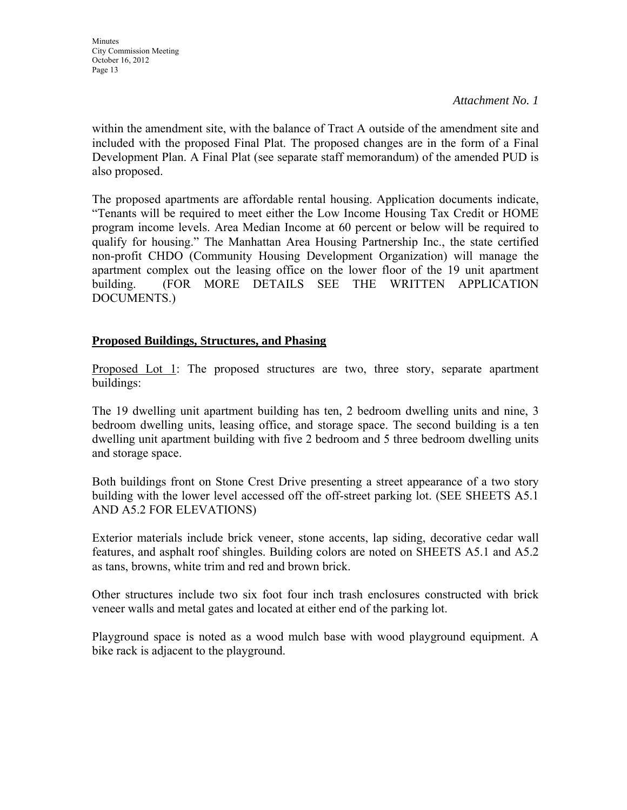within the amendment site, with the balance of Tract A outside of the amendment site and included with the proposed Final Plat. The proposed changes are in the form of a Final Development Plan. A Final Plat (see separate staff memorandum) of the amended PUD is also proposed.

The proposed apartments are affordable rental housing. Application documents indicate, "Tenants will be required to meet either the Low Income Housing Tax Credit or HOME program income levels. Area Median Income at 60 percent or below will be required to qualify for housing." The Manhattan Area Housing Partnership Inc., the state certified non-profit CHDO (Community Housing Development Organization) will manage the apartment complex out the leasing office on the lower floor of the 19 unit apartment building. (FOR MORE DETAILS SEE THE WRITTEN APPLICATION DOCUMENTS.)

# **Proposed Buildings, Structures, and Phasing**

Proposed Lot 1: The proposed structures are two, three story, separate apartment buildings:

The 19 dwelling unit apartment building has ten, 2 bedroom dwelling units and nine, 3 bedroom dwelling units, leasing office, and storage space. The second building is a ten dwelling unit apartment building with five 2 bedroom and 5 three bedroom dwelling units and storage space.

Both buildings front on Stone Crest Drive presenting a street appearance of a two story building with the lower level accessed off the off-street parking lot. (SEE SHEETS A5.1 AND A5.2 FOR ELEVATIONS)

Exterior materials include brick veneer, stone accents, lap siding, decorative cedar wall features, and asphalt roof shingles. Building colors are noted on SHEETS A5.1 and A5.2 as tans, browns, white trim and red and brown brick.

Other structures include two six foot four inch trash enclosures constructed with brick veneer walls and metal gates and located at either end of the parking lot.

Playground space is noted as a wood mulch base with wood playground equipment. A bike rack is adjacent to the playground.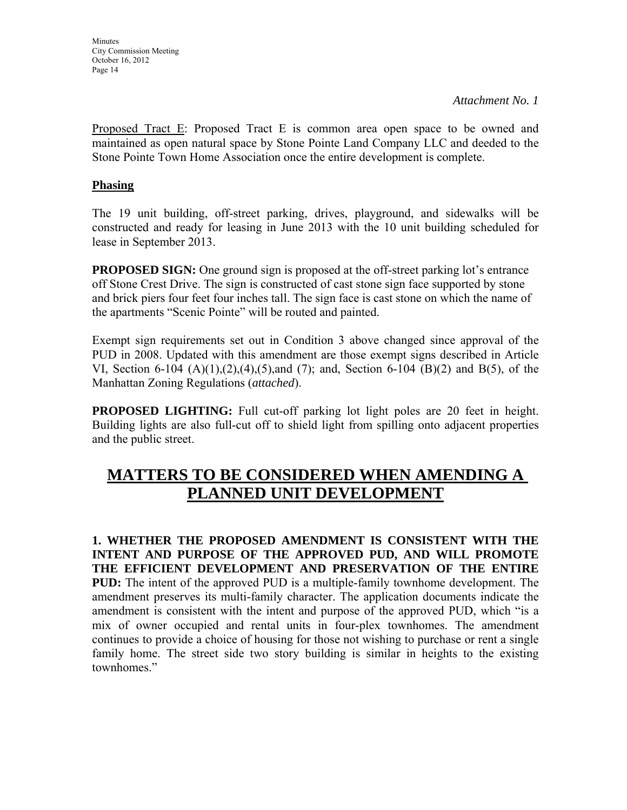Proposed Tract E: Proposed Tract E is common area open space to be owned and maintained as open natural space by Stone Pointe Land Company LLC and deeded to the Stone Pointe Town Home Association once the entire development is complete.

## **Phasing**

The 19 unit building, off-street parking, drives, playground, and sidewalks will be constructed and ready for leasing in June 2013 with the 10 unit building scheduled for lease in September 2013.

**PROPOSED SIGN:** One ground sign is proposed at the off-street parking lot's entrance off Stone Crest Drive. The sign is constructed of cast stone sign face supported by stone and brick piers four feet four inches tall. The sign face is cast stone on which the name of the apartments "Scenic Pointe" will be routed and painted.

Exempt sign requirements set out in Condition 3 above changed since approval of the PUD in 2008. Updated with this amendment are those exempt signs described in Article VI, Section 6-104  $(A)(1),(2),(4),(5)$ ,and  $(7)$ ; and, Section 6-104  $(B)(2)$  and  $B(5)$ , of the Manhattan Zoning Regulations (*attached*).

**PROPOSED LIGHTING:** Full cut-off parking lot light poles are 20 feet in height. Building lights are also full-cut off to shield light from spilling onto adjacent properties and the public street.

# **MATTERS TO BE CONSIDERED WHEN AMENDING A PLANNED UNIT DEVELOPMENT**

**1. WHETHER THE PROPOSED AMENDMENT IS CONSISTENT WITH THE INTENT AND PURPOSE OF THE APPROVED PUD, AND WILL PROMOTE THE EFFICIENT DEVELOPMENT AND PRESERVATION OF THE ENTIRE PUD:** The intent of the approved PUD is a multiple-family townhome development. The amendment preserves its multi-family character. The application documents indicate the amendment is consistent with the intent and purpose of the approved PUD, which "is a mix of owner occupied and rental units in four-plex townhomes. The amendment continues to provide a choice of housing for those not wishing to purchase or rent a single family home. The street side two story building is similar in heights to the existing townhomes."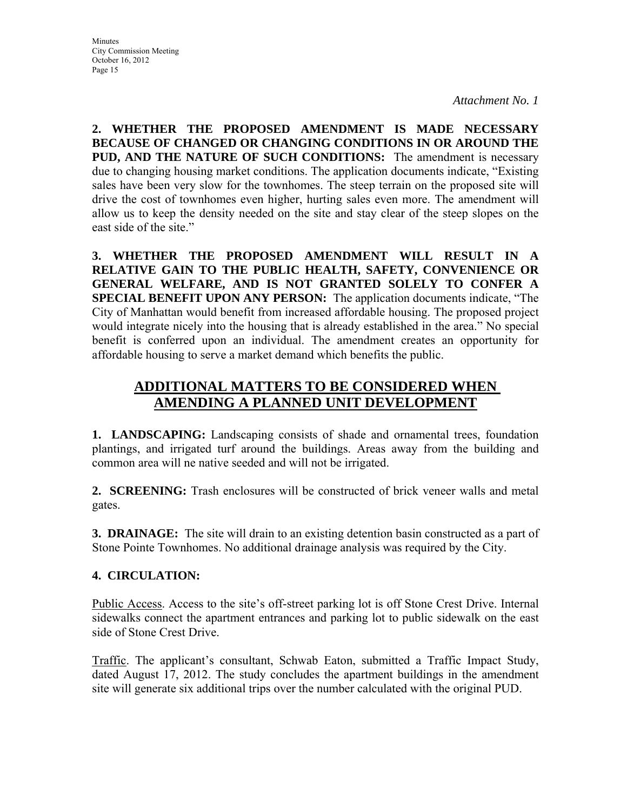**2. WHETHER THE PROPOSED AMENDMENT IS MADE NECESSARY BECAUSE OF CHANGED OR CHANGING CONDITIONS IN OR AROUND THE PUD, AND THE NATURE OF SUCH CONDITIONS:** The amendment is necessary due to changing housing market conditions. The application documents indicate, "Existing sales have been very slow for the townhomes. The steep terrain on the proposed site will drive the cost of townhomes even higher, hurting sales even more. The amendment will allow us to keep the density needed on the site and stay clear of the steep slopes on the east side of the site."

**3. WHETHER THE PROPOSED AMENDMENT WILL RESULT IN A RELATIVE GAIN TO THE PUBLIC HEALTH, SAFETY, CONVENIENCE OR GENERAL WELFARE, AND IS NOT GRANTED SOLELY TO CONFER A SPECIAL BENEFIT UPON ANY PERSON:** The application documents indicate, "The City of Manhattan would benefit from increased affordable housing. The proposed project would integrate nicely into the housing that is already established in the area." No special benefit is conferred upon an individual. The amendment creates an opportunity for affordable housing to serve a market demand which benefits the public.

# **ADDITIONAL MATTERS TO BE CONSIDERED WHEN AMENDING A PLANNED UNIT DEVELOPMENT**

**1. LANDSCAPING:** Landscaping consists of shade and ornamental trees, foundation plantings, and irrigated turf around the buildings. Areas away from the building and common area will ne native seeded and will not be irrigated.

**2. SCREENING:** Trash enclosures will be constructed of brick veneer walls and metal gates.

**3. DRAINAGE:** The site will drain to an existing detention basin constructed as a part of Stone Pointe Townhomes. No additional drainage analysis was required by the City.

## **4. CIRCULATION:**

Public Access. Access to the site's off-street parking lot is off Stone Crest Drive. Internal sidewalks connect the apartment entrances and parking lot to public sidewalk on the east side of Stone Crest Drive.

Traffic. The applicant's consultant, Schwab Eaton, submitted a Traffic Impact Study, dated August 17, 2012. The study concludes the apartment buildings in the amendment site will generate six additional trips over the number calculated with the original PUD.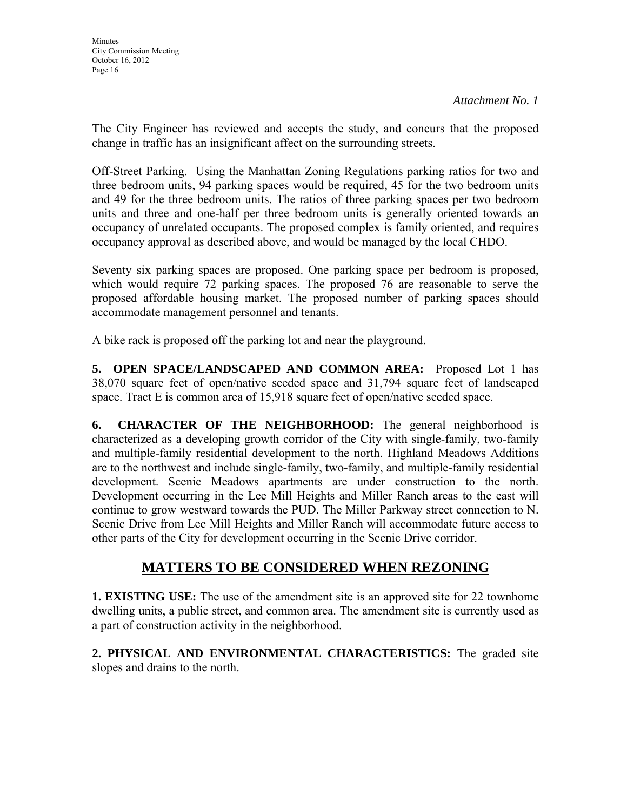The City Engineer has reviewed and accepts the study, and concurs that the proposed change in traffic has an insignificant affect on the surrounding streets.

Off-Street Parking. Using the Manhattan Zoning Regulations parking ratios for two and three bedroom units, 94 parking spaces would be required, 45 for the two bedroom units and 49 for the three bedroom units. The ratios of three parking spaces per two bedroom units and three and one-half per three bedroom units is generally oriented towards an occupancy of unrelated occupants. The proposed complex is family oriented, and requires occupancy approval as described above, and would be managed by the local CHDO.

Seventy six parking spaces are proposed. One parking space per bedroom is proposed, which would require 72 parking spaces. The proposed 76 are reasonable to serve the proposed affordable housing market. The proposed number of parking spaces should accommodate management personnel and tenants.

A bike rack is proposed off the parking lot and near the playground.

**5. OPEN SPACE/LANDSCAPED AND COMMON AREA:** Proposed Lot 1 has 38,070 square feet of open/native seeded space and 31,794 square feet of landscaped space. Tract E is common area of 15,918 square feet of open/native seeded space.

**6. CHARACTER OF THE NEIGHBORHOOD:** The general neighborhood is characterized as a developing growth corridor of the City with single-family, two-family and multiple-family residential development to the north. Highland Meadows Additions are to the northwest and include single-family, two-family, and multiple-family residential development. Scenic Meadows apartments are under construction to the north. Development occurring in the Lee Mill Heights and Miller Ranch areas to the east will continue to grow westward towards the PUD. The Miller Parkway street connection to N. Scenic Drive from Lee Mill Heights and Miller Ranch will accommodate future access to other parts of the City for development occurring in the Scenic Drive corridor.

# **MATTERS TO BE CONSIDERED WHEN REZONING**

**1. EXISTING USE:** The use of the amendment site is an approved site for 22 townhome dwelling units, a public street, and common area. The amendment site is currently used as a part of construction activity in the neighborhood.

**2. PHYSICAL AND ENVIRONMENTAL CHARACTERISTICS:** The graded site slopes and drains to the north.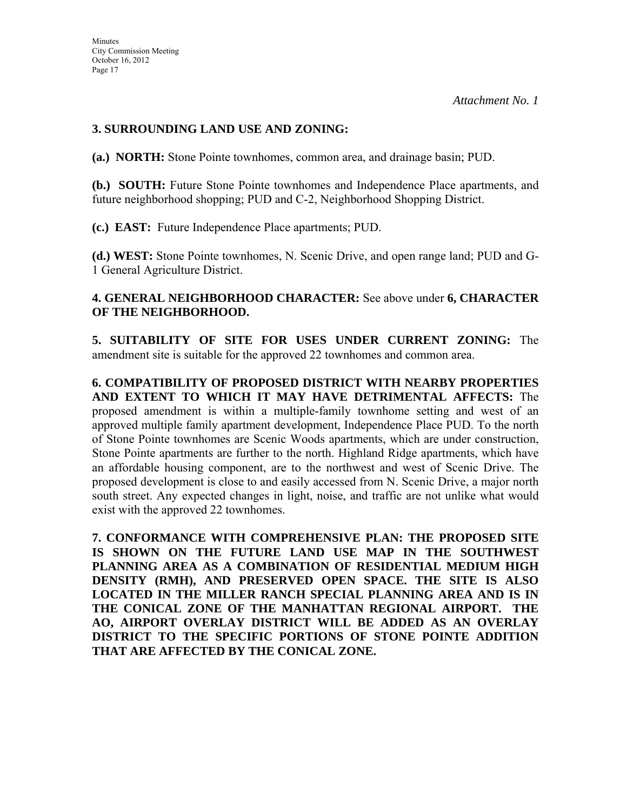# **3. SURROUNDING LAND USE AND ZONING:**

**(a.) NORTH:** Stone Pointe townhomes, common area, and drainage basin; PUD.

**(b.) SOUTH:** Future Stone Pointe townhomes and Independence Place apartments, and future neighborhood shopping; PUD and C-2, Neighborhood Shopping District.

**(c.) EAST:** Future Independence Place apartments; PUD.

**(d.) WEST:** Stone Pointe townhomes, N. Scenic Drive, and open range land; PUD and G-1 General Agriculture District.

## **4. GENERAL NEIGHBORHOOD CHARACTER:** See above under **6, CHARACTER OF THE NEIGHBORHOOD.**

**5. SUITABILITY OF SITE FOR USES UNDER CURRENT ZONING:** The amendment site is suitable for the approved 22 townhomes and common area.

**6. COMPATIBILITY OF PROPOSED DISTRICT WITH NEARBY PROPERTIES AND EXTENT TO WHICH IT MAY HAVE DETRIMENTAL AFFECTS:** The proposed amendment is within a multiple-family townhome setting and west of an approved multiple family apartment development, Independence Place PUD. To the north of Stone Pointe townhomes are Scenic Woods apartments, which are under construction, Stone Pointe apartments are further to the north. Highland Ridge apartments, which have an affordable housing component, are to the northwest and west of Scenic Drive. The proposed development is close to and easily accessed from N. Scenic Drive, a major north south street. Any expected changes in light, noise, and traffic are not unlike what would exist with the approved 22 townhomes.

**7. CONFORMANCE WITH COMPREHENSIVE PLAN: THE PROPOSED SITE IS SHOWN ON THE FUTURE LAND USE MAP IN THE SOUTHWEST PLANNING AREA AS A COMBINATION OF RESIDENTIAL MEDIUM HIGH DENSITY (RMH), AND PRESERVED OPEN SPACE. THE SITE IS ALSO LOCATED IN THE MILLER RANCH SPECIAL PLANNING AREA AND IS IN THE CONICAL ZONE OF THE MANHATTAN REGIONAL AIRPORT. THE AO, AIRPORT OVERLAY DISTRICT WILL BE ADDED AS AN OVERLAY DISTRICT TO THE SPECIFIC PORTIONS OF STONE POINTE ADDITION THAT ARE AFFECTED BY THE CONICAL ZONE.**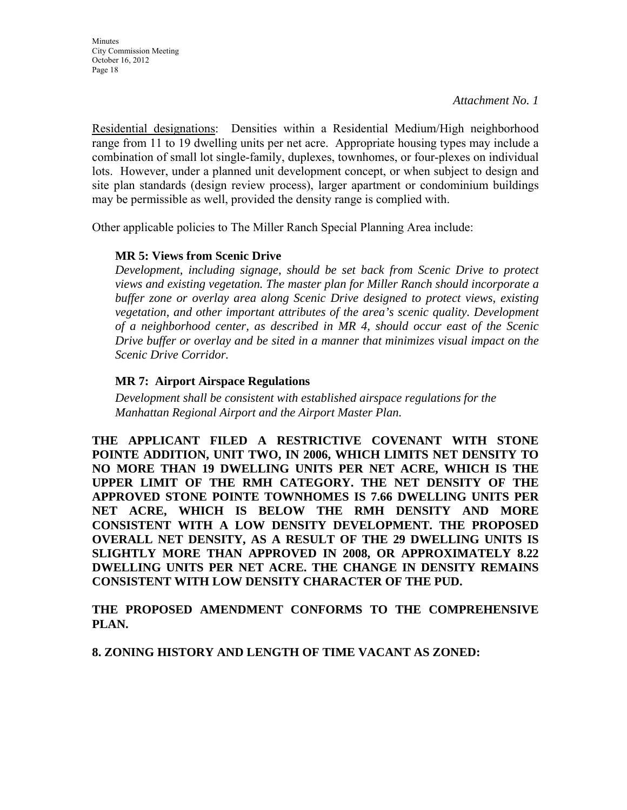Residential designations: Densities within a Residential Medium/High neighborhood range from 11 to 19 dwelling units per net acre. Appropriate housing types may include a combination of small lot single-family, duplexes, townhomes, or four-plexes on individual lots. However, under a planned unit development concept, or when subject to design and site plan standards (design review process), larger apartment or condominium buildings may be permissible as well, provided the density range is complied with.

Other applicable policies to The Miller Ranch Special Planning Area include:

## **MR 5: Views from Scenic Drive**

*Development, including signage, should be set back from Scenic Drive to protect views and existing vegetation. The master plan for Miller Ranch should incorporate a buffer zone or overlay area along Scenic Drive designed to protect views, existing vegetation, and other important attributes of the area's scenic quality. Development of a neighborhood center, as described in MR 4, should occur east of the Scenic Drive buffer or overlay and be sited in a manner that minimizes visual impact on the Scenic Drive Corridor.*

## **MR 7: Airport Airspace Regulations**

*Development shall be consistent with established airspace regulations for the Manhattan Regional Airport and the Airport Master Plan.* 

**THE APPLICANT FILED A RESTRICTIVE COVENANT WITH STONE POINTE ADDITION, UNIT TWO, IN 2006, WHICH LIMITS NET DENSITY TO NO MORE THAN 19 DWELLING UNITS PER NET ACRE, WHICH IS THE UPPER LIMIT OF THE RMH CATEGORY. THE NET DENSITY OF THE APPROVED STONE POINTE TOWNHOMES IS 7.66 DWELLING UNITS PER NET ACRE, WHICH IS BELOW THE RMH DENSITY AND MORE CONSISTENT WITH A LOW DENSITY DEVELOPMENT. THE PROPOSED OVERALL NET DENSITY, AS A RESULT OF THE 29 DWELLING UNITS IS SLIGHTLY MORE THAN APPROVED IN 2008, OR APPROXIMATELY 8.22 DWELLING UNITS PER NET ACRE. THE CHANGE IN DENSITY REMAINS CONSISTENT WITH LOW DENSITY CHARACTER OF THE PUD.**

**THE PROPOSED AMENDMENT CONFORMS TO THE COMPREHENSIVE PLAN.**

**8. ZONING HISTORY AND LENGTH OF TIME VACANT AS ZONED:**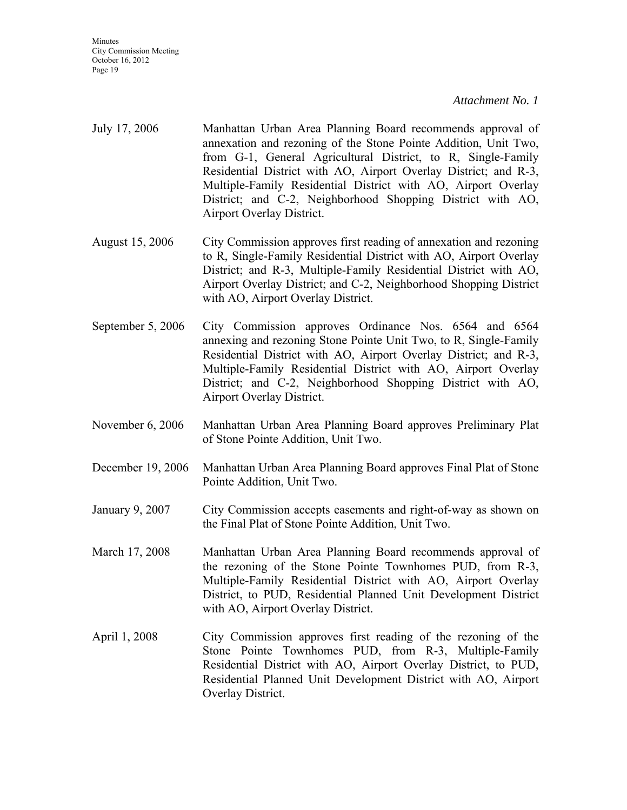- July 17, 2006 Manhattan Urban Area Planning Board recommends approval of annexation and rezoning of the Stone Pointe Addition, Unit Two, from G-1, General Agricultural District, to R, Single-Family Residential District with AO, Airport Overlay District; and R-3, Multiple-Family Residential District with AO, Airport Overlay District; and C-2, Neighborhood Shopping District with AO, Airport Overlay District.
- August 15, 2006 City Commission approves first reading of annexation and rezoning to R, Single-Family Residential District with AO, Airport Overlay District; and R-3, Multiple-Family Residential District with AO, Airport Overlay District; and C-2, Neighborhood Shopping District with AO, Airport Overlay District.
- September 5, 2006 City Commission approves Ordinance Nos. 6564 and 6564 annexing and rezoning Stone Pointe Unit Two, to R, Single-Family Residential District with AO, Airport Overlay District; and R-3, Multiple-Family Residential District with AO, Airport Overlay District; and C-2, Neighborhood Shopping District with AO, Airport Overlay District.
- November 6, 2006 Manhattan Urban Area Planning Board approves Preliminary Plat of Stone Pointe Addition, Unit Two.
- December 19, 2006 Manhattan Urban Area Planning Board approves Final Plat of Stone Pointe Addition, Unit Two.
- January 9, 2007 City Commission accepts easements and right-of-way as shown on the Final Plat of Stone Pointe Addition, Unit Two.
- March 17, 2008 Manhattan Urban Area Planning Board recommends approval of the rezoning of the Stone Pointe Townhomes PUD, from R-3, Multiple-Family Residential District with AO, Airport Overlay District, to PUD, Residential Planned Unit Development District with AO, Airport Overlay District.
- April 1, 2008 City Commission approves first reading of the rezoning of the Stone Pointe Townhomes PUD, from R-3, Multiple-Family Residential District with AO, Airport Overlay District, to PUD, Residential Planned Unit Development District with AO, Airport Overlay District.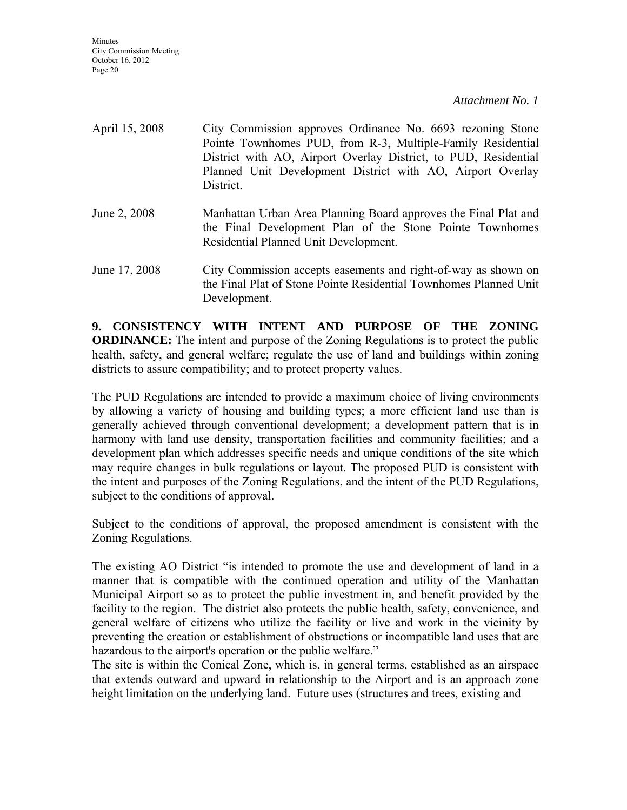| April 15, 2008 | City Commission approves Ordinance No. 6693 rezoning Stone      |
|----------------|-----------------------------------------------------------------|
|                | Pointe Townhomes PUD, from R-3, Multiple-Family Residential     |
|                | District with AO, Airport Overlay District, to PUD, Residential |
|                | Planned Unit Development District with AO, Airport Overlay      |
|                | District.                                                       |
|                |                                                                 |

- June 2, 2008 Manhattan Urban Area Planning Board approves the Final Plat and the Final Development Plan of the Stone Pointe Townhomes Residential Planned Unit Development.
- June 17, 2008 City Commission accepts easements and right-of-way as shown on the Final Plat of Stone Pointe Residential Townhomes Planned Unit Development.

**9. CONSISTENCY WITH INTENT AND PURPOSE OF THE ZONING ORDINANCE:** The intent and purpose of the Zoning Regulations is to protect the public health, safety, and general welfare; regulate the use of land and buildings within zoning districts to assure compatibility; and to protect property values.

The PUD Regulations are intended to provide a maximum choice of living environments by allowing a variety of housing and building types; a more efficient land use than is generally achieved through conventional development; a development pattern that is in harmony with land use density, transportation facilities and community facilities; and a development plan which addresses specific needs and unique conditions of the site which may require changes in bulk regulations or layout. The proposed PUD is consistent with the intent and purposes of the Zoning Regulations, and the intent of the PUD Regulations, subject to the conditions of approval.

Subject to the conditions of approval, the proposed amendment is consistent with the Zoning Regulations.

The existing AO District "is intended to promote the use and development of land in a manner that is compatible with the continued operation and utility of the Manhattan Municipal Airport so as to protect the public investment in, and benefit provided by the facility to the region. The district also protects the public health, safety, convenience, and general welfare of citizens who utilize the facility or live and work in the vicinity by preventing the creation or establishment of obstructions or incompatible land uses that are hazardous to the airport's operation or the public welfare."

The site is within the Conical Zone, which is, in general terms, established as an airspace that extends outward and upward in relationship to the Airport and is an approach zone height limitation on the underlying land. Future uses (structures and trees, existing and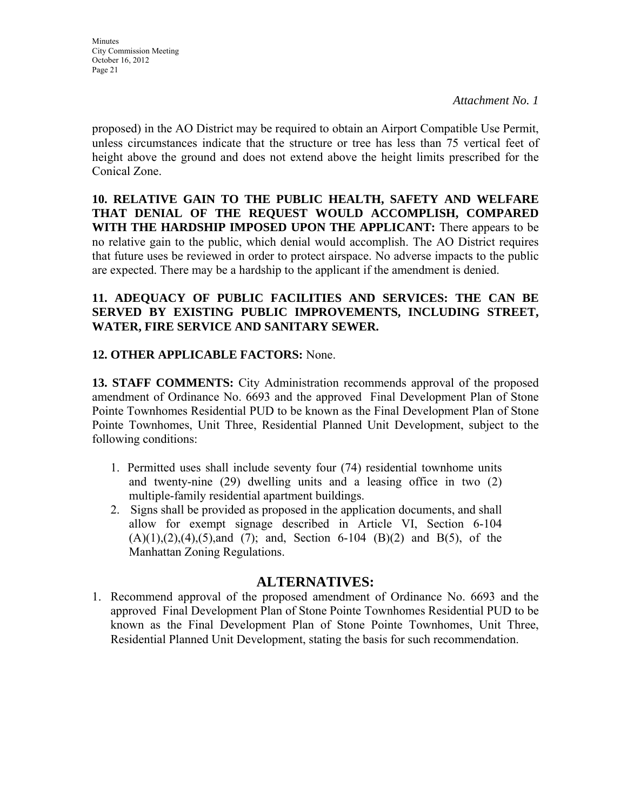proposed) in the AO District may be required to obtain an Airport Compatible Use Permit, unless circumstances indicate that the structure or tree has less than 75 vertical feet of height above the ground and does not extend above the height limits prescribed for the Conical Zone.

**10. RELATIVE GAIN TO THE PUBLIC HEALTH, SAFETY AND WELFARE THAT DENIAL OF THE REQUEST WOULD ACCOMPLISH, COMPARED WITH THE HARDSHIP IMPOSED UPON THE APPLICANT:** There appears to be no relative gain to the public, which denial would accomplish. The AO District requires that future uses be reviewed in order to protect airspace. No adverse impacts to the public are expected. There may be a hardship to the applicant if the amendment is denied.

# **11. ADEQUACY OF PUBLIC FACILITIES AND SERVICES: THE CAN BE SERVED BY EXISTING PUBLIC IMPROVEMENTS, INCLUDING STREET, WATER, FIRE SERVICE AND SANITARY SEWER.**

# **12. OTHER APPLICABLE FACTORS:** None.

**13. STAFF COMMENTS:** City Administration recommends approval of the proposed amendment of Ordinance No. 6693 and the approved Final Development Plan of Stone Pointe Townhomes Residential PUD to be known as the Final Development Plan of Stone Pointe Townhomes, Unit Three, Residential Planned Unit Development, subject to the following conditions:

- 1. Permitted uses shall include seventy four (74) residential townhome units and twenty-nine (29) dwelling units and a leasing office in two (2) multiple-family residential apartment buildings.
- 2. Signs shall be provided as proposed in the application documents, and shall allow for exempt signage described in Article VI, Section 6-104  $(A)(1),(2),(4),(5)$ ,and  $(7)$ ; and, Section 6-104  $(B)(2)$  and  $B(5)$ , of the Manhattan Zoning Regulations.

## **ALTERNATIVES:**

1. Recommend approval of the proposed amendment of Ordinance No. 6693 and the approved Final Development Plan of Stone Pointe Townhomes Residential PUD to be known as the Final Development Plan of Stone Pointe Townhomes, Unit Three, Residential Planned Unit Development, stating the basis for such recommendation.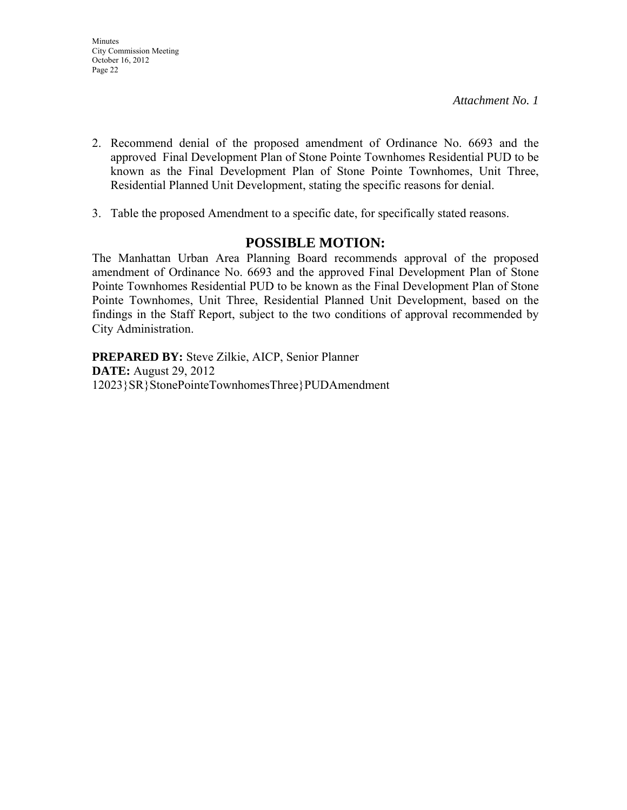**Minutes** City Commission Meeting October 16, 2012 Page 22

*Attachment No. 1* 

- 2. Recommend denial of the proposed amendment of Ordinance No. 6693 and the approved Final Development Plan of Stone Pointe Townhomes Residential PUD to be known as the Final Development Plan of Stone Pointe Townhomes, Unit Three, Residential Planned Unit Development, stating the specific reasons for denial.
- 3. Table the proposed Amendment to a specific date, for specifically stated reasons.

# **POSSIBLE MOTION:**

The Manhattan Urban Area Planning Board recommends approval of the proposed amendment of Ordinance No. 6693 and the approved Final Development Plan of Stone Pointe Townhomes Residential PUD to be known as the Final Development Plan of Stone Pointe Townhomes, Unit Three, Residential Planned Unit Development, based on the findings in the Staff Report, subject to the two conditions of approval recommended by City Administration.

**PREPARED BY:** Steve Zilkie, AICP, Senior Planner **DATE:** August 29, 2012 12023}SR}StonePointeTownhomesThree}PUDAmendment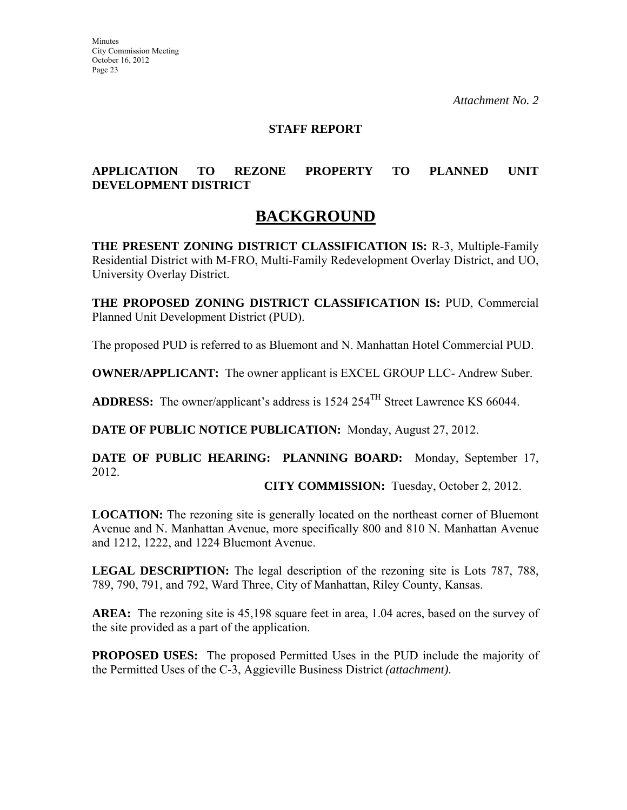### **STAFF REPORT**

# **APPLICATION TO REZONE PROPERTY TO PLANNED UNIT DEVELOPMENT DISTRICT**

# **BACKGROUND**

**THE PRESENT ZONING DISTRICT CLASSIFICATION IS:** R-3, Multiple-Family Residential District with M-FRO, Multi-Family Redevelopment Overlay District, and UO, University Overlay District.

**THE PROPOSED ZONING DISTRICT CLASSIFICATION IS:** PUD, Commercial Planned Unit Development District (PUD).

The proposed PUD is referred to as Bluemont and N. Manhattan Hotel Commercial PUD.

**OWNER/APPLICANT:** The owner applicant is EXCEL GROUP LLC- Andrew Suber.

**ADDRESS:** The owner/applicant's address is 1524 254TH Street Lawrence KS 66044.

**DATE OF PUBLIC NOTICE PUBLICATION:** Monday, August 27, 2012.

**DATE OF PUBLIC HEARING: PLANNING BOARD:** Monday, September 17, 2012.

**CITY COMMISSION:** Tuesday, October 2, 2012.

**LOCATION:** The rezoning site is generally located on the northeast corner of Bluemont Avenue and N. Manhattan Avenue, more specifically 800 and 810 N. Manhattan Avenue and 1212, 1222, and 1224 Bluemont Avenue.

**LEGAL DESCRIPTION:** The legal description of the rezoning site is Lots 787, 788, 789, 790, 791, and 792, Ward Three, City of Manhattan, Riley County, Kansas.

AREA: The rezoning site is 45,198 square feet in area, 1.04 acres, based on the survey of the site provided as a part of the application.

**PROPOSED USES:** The proposed Permitted Uses in the PUD include the majority of the Permitted Uses of the C-3, Aggieville Business District *(attachment)*.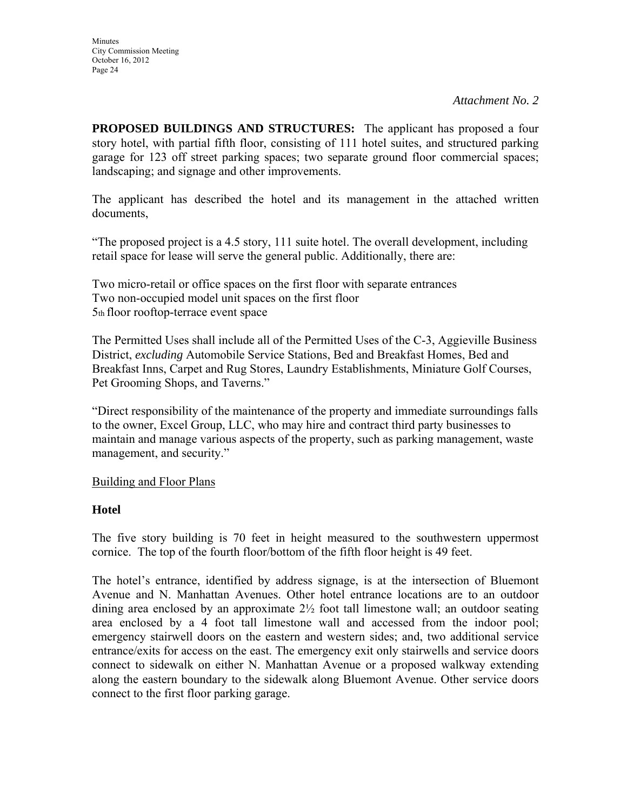**PROPOSED BUILDINGS AND STRUCTURES:** The applicant has proposed a four story hotel, with partial fifth floor, consisting of 111 hotel suites, and structured parking garage for 123 off street parking spaces; two separate ground floor commercial spaces; landscaping; and signage and other improvements.

The applicant has described the hotel and its management in the attached written documents,

"The proposed project is a 4.5 story, 111 suite hotel. The overall development, including retail space for lease will serve the general public. Additionally, there are:

Two micro-retail or office spaces on the first floor with separate entrances Two non-occupied model unit spaces on the first floor 5th floor rooftop-terrace event space

The Permitted Uses shall include all of the Permitted Uses of the C-3, Aggieville Business District, *excluding* Automobile Service Stations, Bed and Breakfast Homes, Bed and Breakfast Inns, Carpet and Rug Stores, Laundry Establishments, Miniature Golf Courses, Pet Grooming Shops, and Taverns."

"Direct responsibility of the maintenance of the property and immediate surroundings falls to the owner, Excel Group, LLC, who may hire and contract third party businesses to maintain and manage various aspects of the property, such as parking management, waste management, and security."

## Building and Floor Plans

## **Hotel**

The five story building is 70 feet in height measured to the southwestern uppermost cornice. The top of the fourth floor/bottom of the fifth floor height is 49 feet.

The hotel's entrance, identified by address signage, is at the intersection of Bluemont Avenue and N. Manhattan Avenues. Other hotel entrance locations are to an outdoor dining area enclosed by an approximate 2½ foot tall limestone wall; an outdoor seating area enclosed by a 4 foot tall limestone wall and accessed from the indoor pool; emergency stairwell doors on the eastern and western sides; and, two additional service entrance/exits for access on the east. The emergency exit only stairwells and service doors connect to sidewalk on either N. Manhattan Avenue or a proposed walkway extending along the eastern boundary to the sidewalk along Bluemont Avenue. Other service doors connect to the first floor parking garage.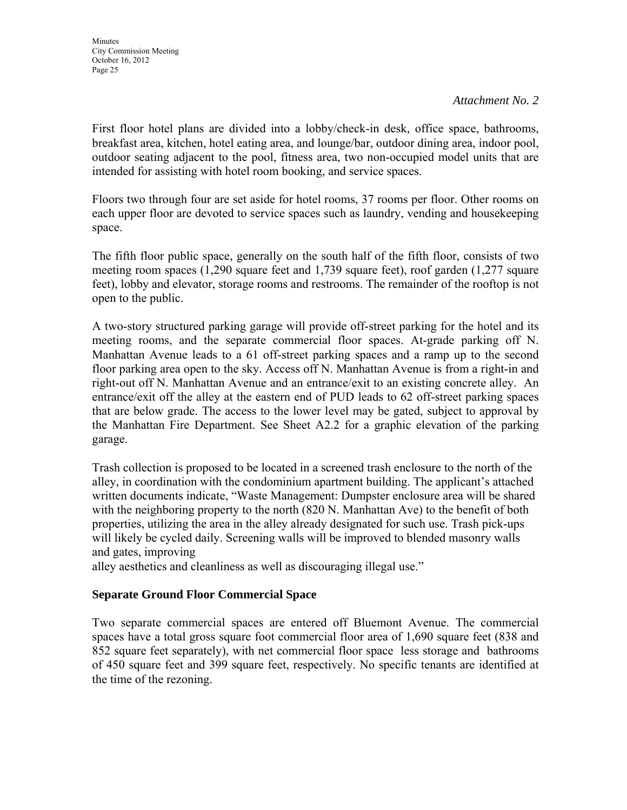First floor hotel plans are divided into a lobby/check-in desk, office space, bathrooms, breakfast area, kitchen, hotel eating area, and lounge/bar, outdoor dining area, indoor pool, outdoor seating adjacent to the pool, fitness area, two non-occupied model units that are intended for assisting with hotel room booking, and service spaces.

Floors two through four are set aside for hotel rooms, 37 rooms per floor. Other rooms on each upper floor are devoted to service spaces such as laundry, vending and housekeeping space.

The fifth floor public space, generally on the south half of the fifth floor, consists of two meeting room spaces (1,290 square feet and 1,739 square feet), roof garden (1,277 square feet), lobby and elevator, storage rooms and restrooms. The remainder of the rooftop is not open to the public.

A two-story structured parking garage will provide off-street parking for the hotel and its meeting rooms, and the separate commercial floor spaces. At-grade parking off N. Manhattan Avenue leads to a 61 off-street parking spaces and a ramp up to the second floor parking area open to the sky. Access off N. Manhattan Avenue is from a right-in and right-out off N. Manhattan Avenue and an entrance/exit to an existing concrete alley. An entrance/exit off the alley at the eastern end of PUD leads to 62 off-street parking spaces that are below grade. The access to the lower level may be gated, subject to approval by the Manhattan Fire Department. See Sheet A2.2 for a graphic elevation of the parking garage.

Trash collection is proposed to be located in a screened trash enclosure to the north of the alley, in coordination with the condominium apartment building. The applicant's attached written documents indicate, "Waste Management: Dumpster enclosure area will be shared with the neighboring property to the north (820 N. Manhattan Ave) to the benefit of both properties, utilizing the area in the alley already designated for such use. Trash pick-ups will likely be cycled daily. Screening walls will be improved to blended masonry walls and gates, improving

alley aesthetics and cleanliness as well as discouraging illegal use."

# **Separate Ground Floor Commercial Space**

Two separate commercial spaces are entered off Bluemont Avenue. The commercial spaces have a total gross square foot commercial floor area of 1,690 square feet (838 and 852 square feet separately), with net commercial floor space less storage and bathrooms of 450 square feet and 399 square feet, respectively. No specific tenants are identified at the time of the rezoning.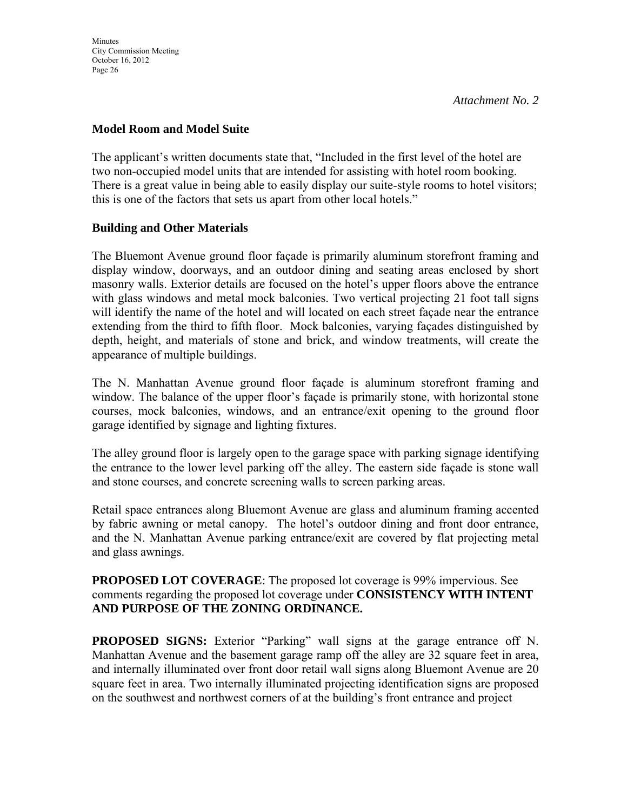## **Model Room and Model Suite**

The applicant's written documents state that, "Included in the first level of the hotel are two non-occupied model units that are intended for assisting with hotel room booking. There is a great value in being able to easily display our suite-style rooms to hotel visitors; this is one of the factors that sets us apart from other local hotels."

## **Building and Other Materials**

The Bluemont Avenue ground floor façade is primarily aluminum storefront framing and display window, doorways, and an outdoor dining and seating areas enclosed by short masonry walls. Exterior details are focused on the hotel's upper floors above the entrance with glass windows and metal mock balconies. Two vertical projecting 21 foot tall signs will identify the name of the hotel and will located on each street façade near the entrance extending from the third to fifth floor. Mock balconies, varying façades distinguished by depth, height, and materials of stone and brick, and window treatments, will create the appearance of multiple buildings.

The N. Manhattan Avenue ground floor façade is aluminum storefront framing and window. The balance of the upper floor's façade is primarily stone, with horizontal stone courses, mock balconies, windows, and an entrance/exit opening to the ground floor garage identified by signage and lighting fixtures.

The alley ground floor is largely open to the garage space with parking signage identifying the entrance to the lower level parking off the alley. The eastern side façade is stone wall and stone courses, and concrete screening walls to screen parking areas.

Retail space entrances along Bluemont Avenue are glass and aluminum framing accented by fabric awning or metal canopy. The hotel's outdoor dining and front door entrance, and the N. Manhattan Avenue parking entrance/exit are covered by flat projecting metal and glass awnings.

**PROPOSED LOT COVERAGE**: The proposed lot coverage is 99% impervious. See comments regarding the proposed lot coverage under **CONSISTENCY WITH INTENT AND PURPOSE OF THE ZONING ORDINANCE.**

**PROPOSED SIGNS:** Exterior "Parking" wall signs at the garage entrance off N. Manhattan Avenue and the basement garage ramp off the alley are 32 square feet in area, and internally illuminated over front door retail wall signs along Bluemont Avenue are 20 square feet in area. Two internally illuminated projecting identification signs are proposed on the southwest and northwest corners of at the building's front entrance and project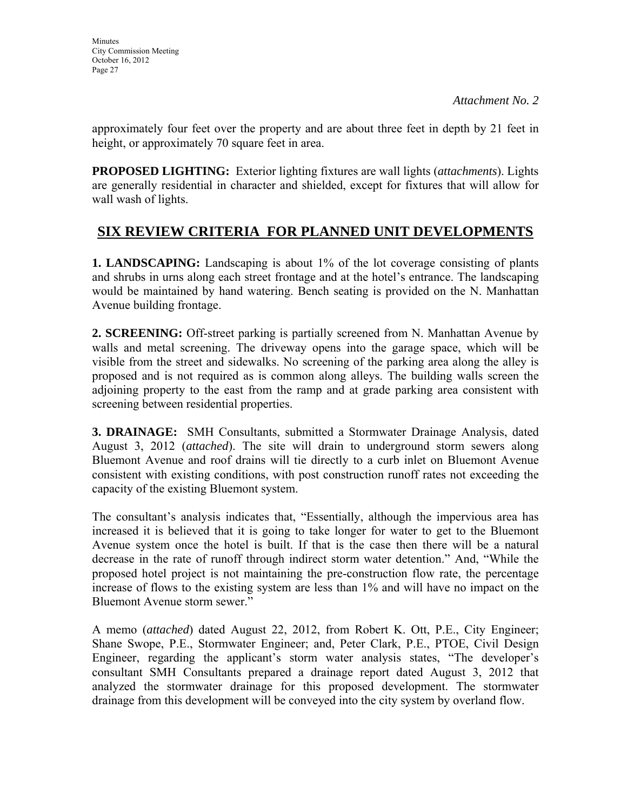approximately four feet over the property and are about three feet in depth by 21 feet in height, or approximately 70 square feet in area.

**PROPOSED LIGHTING:** Exterior lighting fixtures are wall lights (*attachments*). Lights are generally residential in character and shielded, except for fixtures that will allow for wall wash of lights.

# **SIX REVIEW CRITERIA FOR PLANNED UNIT DEVELOPMENTS**

**1. LANDSCAPING:** Landscaping is about 1% of the lot coverage consisting of plants and shrubs in urns along each street frontage and at the hotel's entrance. The landscaping would be maintained by hand watering. Bench seating is provided on the N. Manhattan Avenue building frontage.

**2. SCREENING:** Off-street parking is partially screened from N. Manhattan Avenue by walls and metal screening. The driveway opens into the garage space, which will be visible from the street and sidewalks. No screening of the parking area along the alley is proposed and is not required as is common along alleys. The building walls screen the adjoining property to the east from the ramp and at grade parking area consistent with screening between residential properties.

**3. DRAINAGE:** SMH Consultants, submitted a Stormwater Drainage Analysis, dated August 3, 2012 (*attached*). The site will drain to underground storm sewers along Bluemont Avenue and roof drains will tie directly to a curb inlet on Bluemont Avenue consistent with existing conditions, with post construction runoff rates not exceeding the capacity of the existing Bluemont system.

The consultant's analysis indicates that, "Essentially, although the impervious area has increased it is believed that it is going to take longer for water to get to the Bluemont Avenue system once the hotel is built. If that is the case then there will be a natural decrease in the rate of runoff through indirect storm water detention." And, "While the proposed hotel project is not maintaining the pre-construction flow rate, the percentage increase of flows to the existing system are less than 1% and will have no impact on the Bluemont Avenue storm sewer."

A memo (*attached*) dated August 22, 2012, from Robert K. Ott, P.E., City Engineer; Shane Swope, P.E., Stormwater Engineer; and, Peter Clark, P.E., PTOE, Civil Design Engineer, regarding the applicant's storm water analysis states, "The developer's consultant SMH Consultants prepared a drainage report dated August 3, 2012 that analyzed the stormwater drainage for this proposed development. The stormwater drainage from this development will be conveyed into the city system by overland flow.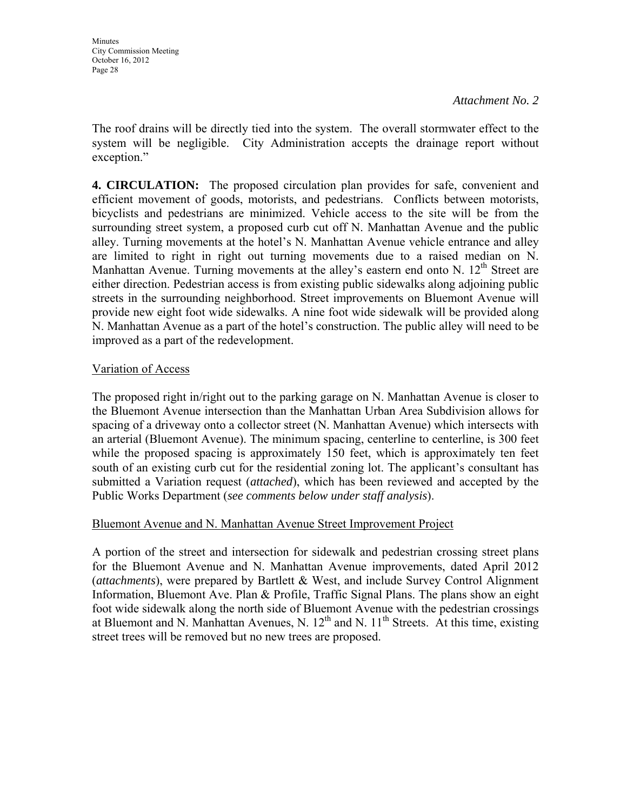The roof drains will be directly tied into the system. The overall stormwater effect to the system will be negligible. City Administration accepts the drainage report without exception."

**4. CIRCULATION:** The proposed circulation plan provides for safe, convenient and efficient movement of goods, motorists, and pedestrians. Conflicts between motorists, bicyclists and pedestrians are minimized. Vehicle access to the site will be from the surrounding street system, a proposed curb cut off N. Manhattan Avenue and the public alley. Turning movements at the hotel's N. Manhattan Avenue vehicle entrance and alley are limited to right in right out turning movements due to a raised median on N. Manhattan Avenue. Turning movements at the alley's eastern end onto N.  $12<sup>th</sup>$  Street are either direction. Pedestrian access is from existing public sidewalks along adjoining public streets in the surrounding neighborhood. Street improvements on Bluemont Avenue will provide new eight foot wide sidewalks. A nine foot wide sidewalk will be provided along N. Manhattan Avenue as a part of the hotel's construction. The public alley will need to be improved as a part of the redevelopment.

# Variation of Access

The proposed right in/right out to the parking garage on N. Manhattan Avenue is closer to the Bluemont Avenue intersection than the Manhattan Urban Area Subdivision allows for spacing of a driveway onto a collector street (N. Manhattan Avenue) which intersects with an arterial (Bluemont Avenue). The minimum spacing, centerline to centerline, is 300 feet while the proposed spacing is approximately 150 feet, which is approximately ten feet south of an existing curb cut for the residential zoning lot. The applicant's consultant has submitted a Variation request (*attached*), which has been reviewed and accepted by the Public Works Department (*see comments below under staff analysis*).

## Bluemont Avenue and N. Manhattan Avenue Street Improvement Project

A portion of the street and intersection for sidewalk and pedestrian crossing street plans for the Bluemont Avenue and N. Manhattan Avenue improvements, dated April 2012 (*attachments*), were prepared by Bartlett & West, and include Survey Control Alignment Information, Bluemont Ave. Plan & Profile, Traffic Signal Plans. The plans show an eight foot wide sidewalk along the north side of Bluemont Avenue with the pedestrian crossings at Bluemont and N. Manhattan Avenues, N.  $12<sup>th</sup>$  and N.  $11<sup>th</sup>$  Streets. At this time, existing street trees will be removed but no new trees are proposed.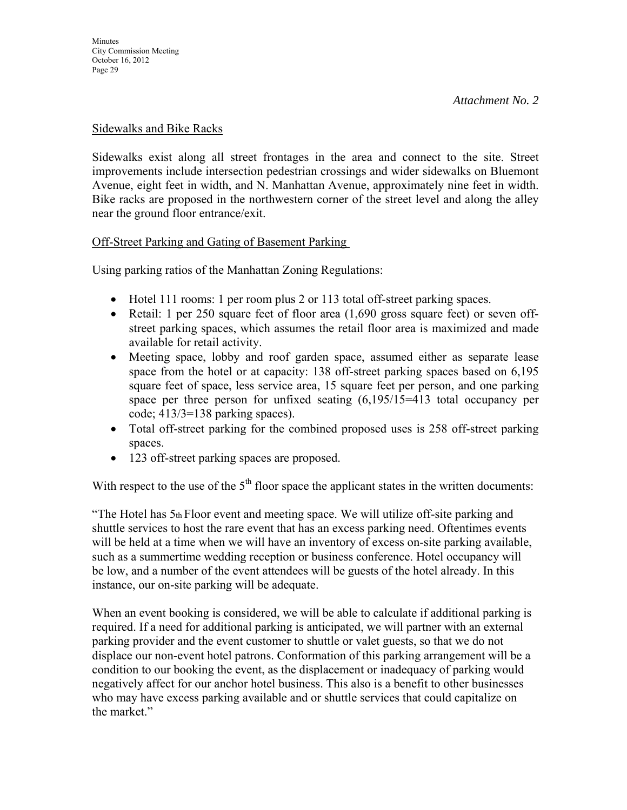### Sidewalks and Bike Racks

Sidewalks exist along all street frontages in the area and connect to the site. Street improvements include intersection pedestrian crossings and wider sidewalks on Bluemont Avenue, eight feet in width, and N. Manhattan Avenue, approximately nine feet in width. Bike racks are proposed in the northwestern corner of the street level and along the alley near the ground floor entrance/exit.

## Off-Street Parking and Gating of Basement Parking

Using parking ratios of the Manhattan Zoning Regulations:

- Hotel 111 rooms: 1 per room plus 2 or 113 total off-street parking spaces.
- Retail: 1 per 250 square feet of floor area (1,690 gross square feet) or seven offstreet parking spaces, which assumes the retail floor area is maximized and made available for retail activity.
- Meeting space, lobby and roof garden space, assumed either as separate lease space from the hotel or at capacity: 138 off-street parking spaces based on 6,195 square feet of space, less service area, 15 square feet per person, and one parking space per three person for unfixed seating (6,195/15=413 total occupancy per code; 413/3=138 parking spaces).
- Total off-street parking for the combined proposed uses is 258 off-street parking spaces.
- 123 off-street parking spaces are proposed.

With respect to the use of the  $5<sup>th</sup>$  floor space the applicant states in the written documents:

"The Hotel has 5th Floor event and meeting space. We will utilize off-site parking and shuttle services to host the rare event that has an excess parking need. Oftentimes events will be held at a time when we will have an inventory of excess on-site parking available, such as a summertime wedding reception or business conference. Hotel occupancy will be low, and a number of the event attendees will be guests of the hotel already. In this instance, our on-site parking will be adequate.

When an event booking is considered, we will be able to calculate if additional parking is required. If a need for additional parking is anticipated, we will partner with an external parking provider and the event customer to shuttle or valet guests, so that we do not displace our non-event hotel patrons. Conformation of this parking arrangement will be a condition to our booking the event, as the displacement or inadequacy of parking would negatively affect for our anchor hotel business. This also is a benefit to other businesses who may have excess parking available and or shuttle services that could capitalize on the market."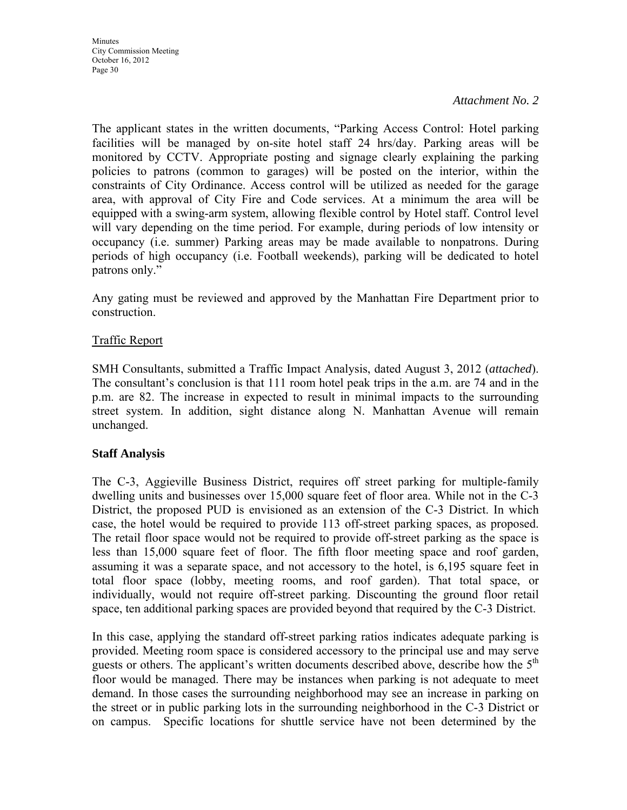The applicant states in the written documents, "Parking Access Control: Hotel parking facilities will be managed by on-site hotel staff 24 hrs/day. Parking areas will be monitored by CCTV. Appropriate posting and signage clearly explaining the parking policies to patrons (common to garages) will be posted on the interior, within the constraints of City Ordinance. Access control will be utilized as needed for the garage area, with approval of City Fire and Code services. At a minimum the area will be equipped with a swing-arm system, allowing flexible control by Hotel staff. Control level will vary depending on the time period. For example, during periods of low intensity or occupancy (i.e. summer) Parking areas may be made available to nonpatrons. During periods of high occupancy (i.e. Football weekends), parking will be dedicated to hotel patrons only."

Any gating must be reviewed and approved by the Manhattan Fire Department prior to construction.

## Traffic Report

SMH Consultants, submitted a Traffic Impact Analysis, dated August 3, 2012 (*attached*). The consultant's conclusion is that 111 room hotel peak trips in the a.m. are 74 and in the p.m. are 82. The increase in expected to result in minimal impacts to the surrounding street system. In addition, sight distance along N. Manhattan Avenue will remain unchanged.

## **Staff Analysis**

The C-3, Aggieville Business District, requires off street parking for multiple-family dwelling units and businesses over 15,000 square feet of floor area. While not in the C-3 District, the proposed PUD is envisioned as an extension of the C-3 District. In which case, the hotel would be required to provide 113 off-street parking spaces, as proposed. The retail floor space would not be required to provide off-street parking as the space is less than 15,000 square feet of floor. The fifth floor meeting space and roof garden, assuming it was a separate space, and not accessory to the hotel, is 6,195 square feet in total floor space (lobby, meeting rooms, and roof garden). That total space, or individually, would not require off-street parking. Discounting the ground floor retail space, ten additional parking spaces are provided beyond that required by the C-3 District.

In this case, applying the standard off-street parking ratios indicates adequate parking is provided. Meeting room space is considered accessory to the principal use and may serve guests or others. The applicant's written documents described above, describe how the 5<sup>th</sup> floor would be managed. There may be instances when parking is not adequate to meet demand. In those cases the surrounding neighborhood may see an increase in parking on the street or in public parking lots in the surrounding neighborhood in the C-3 District or on campus. Specific locations for shuttle service have not been determined by the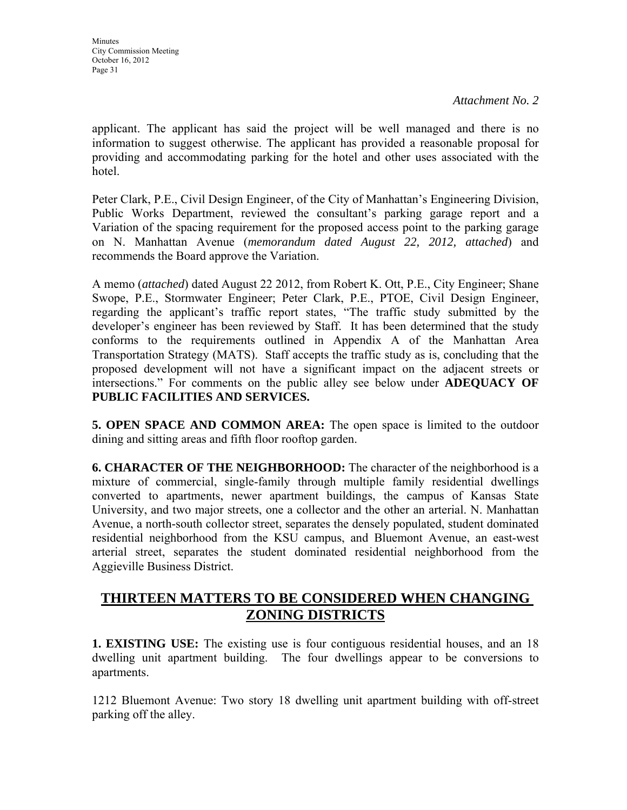applicant. The applicant has said the project will be well managed and there is no information to suggest otherwise. The applicant has provided a reasonable proposal for providing and accommodating parking for the hotel and other uses associated with the hotel.

Peter Clark, P.E., Civil Design Engineer, of the City of Manhattan's Engineering Division, Public Works Department, reviewed the consultant's parking garage report and a Variation of the spacing requirement for the proposed access point to the parking garage on N. Manhattan Avenue (*memorandum dated August 22, 2012, attached*) and recommends the Board approve the Variation.

A memo (*attached*) dated August 22 2012, from Robert K. Ott, P.E., City Engineer; Shane Swope, P.E., Stormwater Engineer; Peter Clark, P.E., PTOE, Civil Design Engineer, regarding the applicant's traffic report states, "The traffic study submitted by the developer's engineer has been reviewed by Staff. It has been determined that the study conforms to the requirements outlined in Appendix A of the Manhattan Area Transportation Strategy (MATS). Staff accepts the traffic study as is, concluding that the proposed development will not have a significant impact on the adjacent streets or intersections." For comments on the public alley see below under **ADEQUACY OF PUBLIC FACILITIES AND SERVICES.**

**5. OPEN SPACE AND COMMON AREA:** The open space is limited to the outdoor dining and sitting areas and fifth floor rooftop garden.

**6. CHARACTER OF THE NEIGHBORHOOD:** The character of the neighborhood is a mixture of commercial, single-family through multiple family residential dwellings converted to apartments, newer apartment buildings, the campus of Kansas State University, and two major streets, one a collector and the other an arterial. N. Manhattan Avenue, a north-south collector street, separates the densely populated, student dominated residential neighborhood from the KSU campus, and Bluemont Avenue, an east-west arterial street, separates the student dominated residential neighborhood from the Aggieville Business District.

# **THIRTEEN MATTERS TO BE CONSIDERED WHEN CHANGING ZONING DISTRICTS**

**1. EXISTING USE:** The existing use is four contiguous residential houses, and an 18 dwelling unit apartment building. The four dwellings appear to be conversions to apartments.

1212 Bluemont Avenue: Two story 18 dwelling unit apartment building with off-street parking off the alley.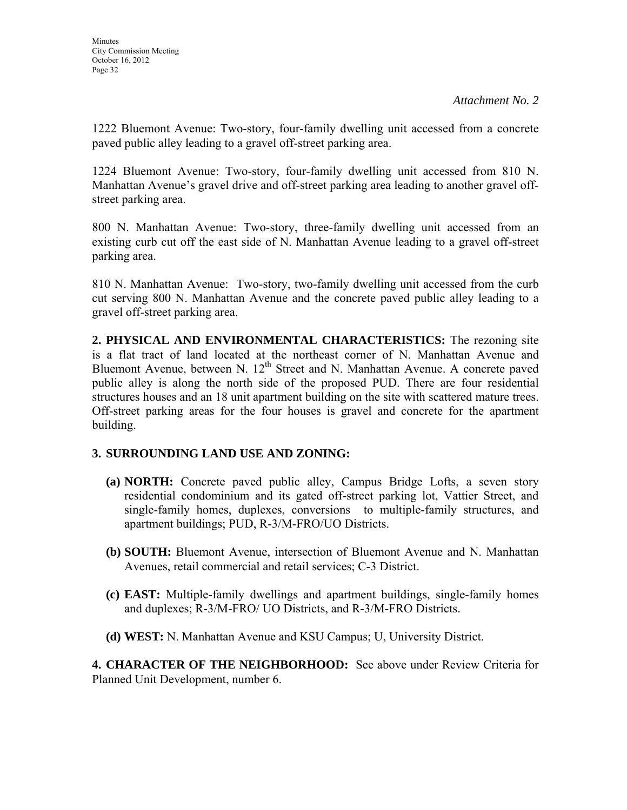1222 Bluemont Avenue: Two-story, four-family dwelling unit accessed from a concrete paved public alley leading to a gravel off-street parking area.

1224 Bluemont Avenue: Two-story, four-family dwelling unit accessed from 810 N. Manhattan Avenue's gravel drive and off-street parking area leading to another gravel offstreet parking area.

800 N. Manhattan Avenue: Two-story, three-family dwelling unit accessed from an existing curb cut off the east side of N. Manhattan Avenue leading to a gravel off-street parking area.

810 N. Manhattan Avenue: Two-story, two-family dwelling unit accessed from the curb cut serving 800 N. Manhattan Avenue and the concrete paved public alley leading to a gravel off-street parking area.

**2. PHYSICAL AND ENVIRONMENTAL CHARACTERISTICS:** The rezoning site is a flat tract of land located at the northeast corner of N. Manhattan Avenue and Bluemont Avenue, between N.  $12<sup>th</sup>$  Street and N. Manhattan Avenue. A concrete paved public alley is along the north side of the proposed PUD. There are four residential structures houses and an 18 unit apartment building on the site with scattered mature trees. Off-street parking areas for the four houses is gravel and concrete for the apartment building.

# **3. SURROUNDING LAND USE AND ZONING:**

- **(a) NORTH:** Concrete paved public alley, Campus Bridge Lofts, a seven story residential condominium and its gated off-street parking lot, Vattier Street, and single-family homes, duplexes, conversions to multiple-family structures, and apartment buildings; PUD, R-3/M-FRO/UO Districts.
- **(b) SOUTH:** Bluemont Avenue, intersection of Bluemont Avenue and N. Manhattan Avenues, retail commercial and retail services; C-3 District.
- **(c) EAST:** Multiple-family dwellings and apartment buildings, single-family homes and duplexes; R-3/M-FRO/ UO Districts, and R-3/M-FRO Districts.
- **(d) WEST:** N. Manhattan Avenue and KSU Campus; U, University District.

**4. CHARACTER OF THE NEIGHBORHOOD:** See above under Review Criteria for Planned Unit Development, number 6.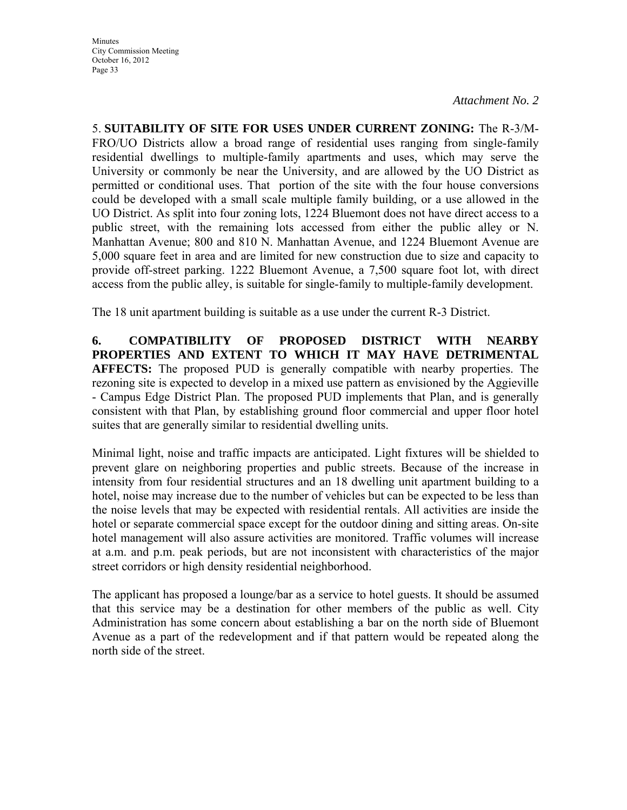5. **SUITABILITY OF SITE FOR USES UNDER CURRENT ZONING:** The R-3/M-FRO/UO Districts allow a broad range of residential uses ranging from single-family residential dwellings to multiple-family apartments and uses, which may serve the University or commonly be near the University, and are allowed by the UO District as permitted or conditional uses. That portion of the site with the four house conversions could be developed with a small scale multiple family building, or a use allowed in the UO District. As split into four zoning lots, 1224 Bluemont does not have direct access to a public street, with the remaining lots accessed from either the public alley or N. Manhattan Avenue; 800 and 810 N. Manhattan Avenue, and 1224 Bluemont Avenue are 5,000 square feet in area and are limited for new construction due to size and capacity to provide off-street parking. 1222 Bluemont Avenue, a 7,500 square foot lot, with direct access from the public alley, is suitable for single-family to multiple-family development.

The 18 unit apartment building is suitable as a use under the current R-3 District.

**6. COMPATIBILITY OF PROPOSED DISTRICT WITH NEARBY PROPERTIES AND EXTENT TO WHICH IT MAY HAVE DETRIMENTAL AFFECTS:** The proposed PUD is generally compatible with nearby properties. The rezoning site is expected to develop in a mixed use pattern as envisioned by the Aggieville - Campus Edge District Plan. The proposed PUD implements that Plan, and is generally consistent with that Plan, by establishing ground floor commercial and upper floor hotel suites that are generally similar to residential dwelling units.

Minimal light, noise and traffic impacts are anticipated. Light fixtures will be shielded to prevent glare on neighboring properties and public streets. Because of the increase in intensity from four residential structures and an 18 dwelling unit apartment building to a hotel, noise may increase due to the number of vehicles but can be expected to be less than the noise levels that may be expected with residential rentals. All activities are inside the hotel or separate commercial space except for the outdoor dining and sitting areas. On-site hotel management will also assure activities are monitored. Traffic volumes will increase at a.m. and p.m. peak periods, but are not inconsistent with characteristics of the major street corridors or high density residential neighborhood.

The applicant has proposed a lounge/bar as a service to hotel guests. It should be assumed that this service may be a destination for other members of the public as well. City Administration has some concern about establishing a bar on the north side of Bluemont Avenue as a part of the redevelopment and if that pattern would be repeated along the north side of the street.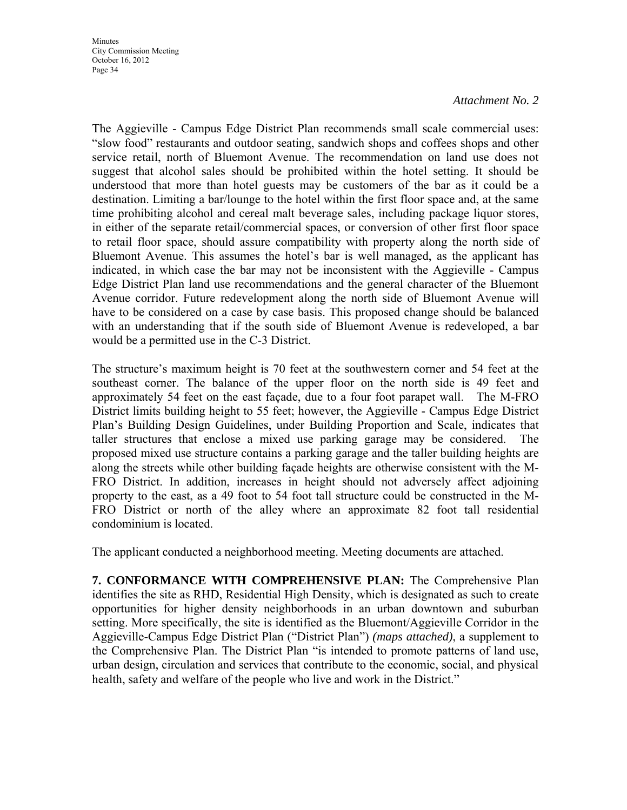**Minutes** City Commission Meeting October 16, 2012 Page 34

#### *Attachment No. 2*

The Aggieville - Campus Edge District Plan recommends small scale commercial uses: "slow food" restaurants and outdoor seating, sandwich shops and coffees shops and other service retail, north of Bluemont Avenue. The recommendation on land use does not suggest that alcohol sales should be prohibited within the hotel setting. It should be understood that more than hotel guests may be customers of the bar as it could be a destination. Limiting a bar/lounge to the hotel within the first floor space and, at the same time prohibiting alcohol and cereal malt beverage sales, including package liquor stores, in either of the separate retail/commercial spaces, or conversion of other first floor space to retail floor space, should assure compatibility with property along the north side of Bluemont Avenue. This assumes the hotel's bar is well managed, as the applicant has indicated, in which case the bar may not be inconsistent with the Aggieville - Campus Edge District Plan land use recommendations and the general character of the Bluemont Avenue corridor. Future redevelopment along the north side of Bluemont Avenue will have to be considered on a case by case basis. This proposed change should be balanced with an understanding that if the south side of Bluemont Avenue is redeveloped, a bar would be a permitted use in the C-3 District.

The structure's maximum height is 70 feet at the southwestern corner and 54 feet at the southeast corner. The balance of the upper floor on the north side is 49 feet and approximately 54 feet on the east façade, due to a four foot parapet wall.The M-FRO District limits building height to 55 feet; however, the Aggieville - Campus Edge District Plan's Building Design Guidelines, under Building Proportion and Scale, indicates that taller structures that enclose a mixed use parking garage may be considered. The proposed mixed use structure contains a parking garage and the taller building heights are along the streets while other building façade heights are otherwise consistent with the M-FRO District. In addition, increases in height should not adversely affect adjoining property to the east, as a 49 foot to 54 foot tall structure could be constructed in the M-FRO District or north of the alley where an approximate 82 foot tall residential condominium is located.

The applicant conducted a neighborhood meeting. Meeting documents are attached.

**7. CONFORMANCE WITH COMPREHENSIVE PLAN:** The Comprehensive Plan identifies the site as RHD, Residential High Density, which is designated as such to create opportunities for higher density neighborhoods in an urban downtown and suburban setting. More specifically, the site is identified as the Bluemont/Aggieville Corridor in the Aggieville-Campus Edge District Plan ("District Plan") *(maps attached)*, a supplement to the Comprehensive Plan. The District Plan "is intended to promote patterns of land use, urban design, circulation and services that contribute to the economic, social, and physical health, safety and welfare of the people who live and work in the District."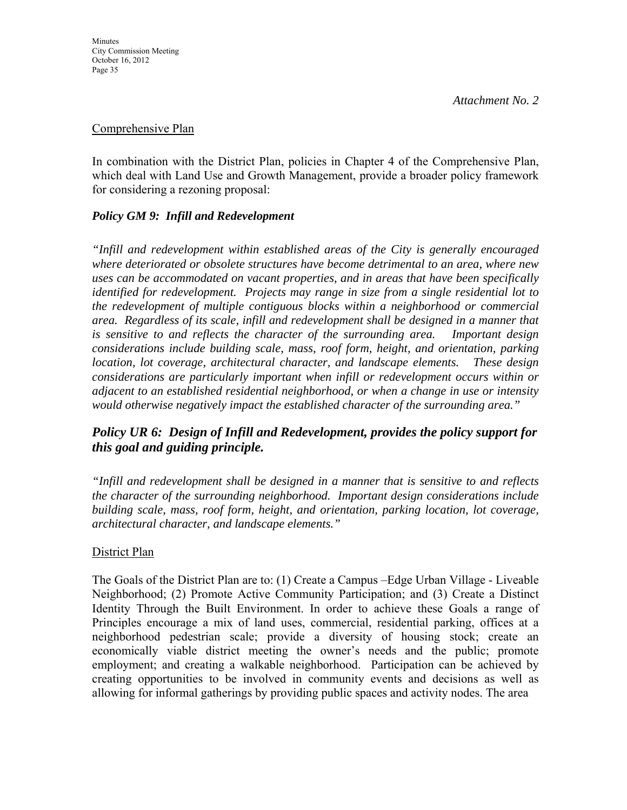### Comprehensive Plan

In combination with the District Plan, policies in Chapter 4 of the Comprehensive Plan, which deal with Land Use and Growth Management, provide a broader policy framework for considering a rezoning proposal:

# *Policy GM 9: Infill and Redevelopment*

*"Infill and redevelopment within established areas of the City is generally encouraged where deteriorated or obsolete structures have become detrimental to an area, where new uses can be accommodated on vacant properties, and in areas that have been specifically identified for redevelopment. Projects may range in size from a single residential lot to the redevelopment of multiple contiguous blocks within a neighborhood or commercial area. Regardless of its scale, infill and redevelopment shall be designed in a manner that is sensitive to and reflects the character of the surrounding area. Important design considerations include building scale, mass, roof form, height, and orientation, parking location, lot coverage, architectural character, and landscape elements. These design considerations are particularly important when infill or redevelopment occurs within or adjacent to an established residential neighborhood, or when a change in use or intensity would otherwise negatively impact the established character of the surrounding area."* 

# *Policy UR 6: Design of Infill and Redevelopment, provides the policy support for this goal and guiding principle.*

*"Infill and redevelopment shall be designed in a manner that is sensitive to and reflects the character of the surrounding neighborhood. Important design considerations include building scale, mass, roof form, height, and orientation, parking location, lot coverage, architectural character, and landscape elements."* 

## District Plan

The Goals of the District Plan are to: (1) Create a Campus –Edge Urban Village - Liveable Neighborhood; (2) Promote Active Community Participation; and (3) Create a Distinct Identity Through the Built Environment. In order to achieve these Goals a range of Principles encourage a mix of land uses, commercial, residential parking, offices at a neighborhood pedestrian scale; provide a diversity of housing stock; create an economically viable district meeting the owner's needs and the public; promote employment; and creating a walkable neighborhood. Participation can be achieved by creating opportunities to be involved in community events and decisions as well as allowing for informal gatherings by providing public spaces and activity nodes. The area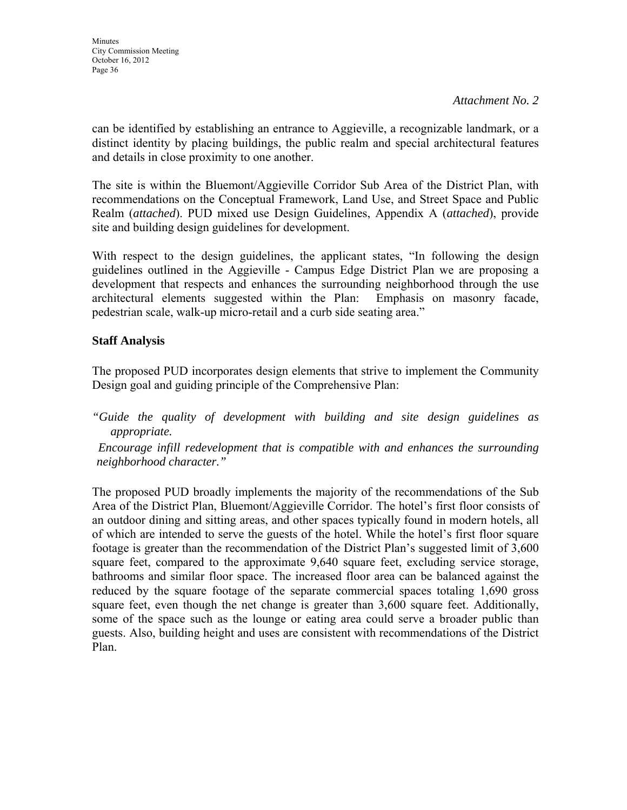can be identified by establishing an entrance to Aggieville, a recognizable landmark, or a distinct identity by placing buildings, the public realm and special architectural features and details in close proximity to one another.

The site is within the Bluemont/Aggieville Corridor Sub Area of the District Plan, with recommendations on the Conceptual Framework, Land Use, and Street Space and Public Realm (*attached*). PUD mixed use Design Guidelines, Appendix A (*attached*), provide site and building design guidelines for development.

With respect to the design guidelines, the applicant states, "In following the design guidelines outlined in the Aggieville - Campus Edge District Plan we are proposing a development that respects and enhances the surrounding neighborhood through the use architectural elements suggested within the Plan: Emphasis on masonry facade, pedestrian scale, walk-up micro-retail and a curb side seating area."

# **Staff Analysis**

The proposed PUD incorporates design elements that strive to implement the Community Design goal and guiding principle of the Comprehensive Plan:

*"Guide the quality of development with building and site design guidelines as appropriate.* 

 *Encourage infill redevelopment that is compatible with and enhances the surrounding neighborhood character."* 

The proposed PUD broadly implements the majority of the recommendations of the Sub Area of the District Plan, Bluemont/Aggieville Corridor. The hotel's first floor consists of an outdoor dining and sitting areas, and other spaces typically found in modern hotels, all of which are intended to serve the guests of the hotel. While the hotel's first floor square footage is greater than the recommendation of the District Plan's suggested limit of 3,600 square feet, compared to the approximate 9,640 square feet, excluding service storage, bathrooms and similar floor space. The increased floor area can be balanced against the reduced by the square footage of the separate commercial spaces totaling 1,690 gross square feet, even though the net change is greater than 3,600 square feet. Additionally, some of the space such as the lounge or eating area could serve a broader public than guests. Also, building height and uses are consistent with recommendations of the District Plan.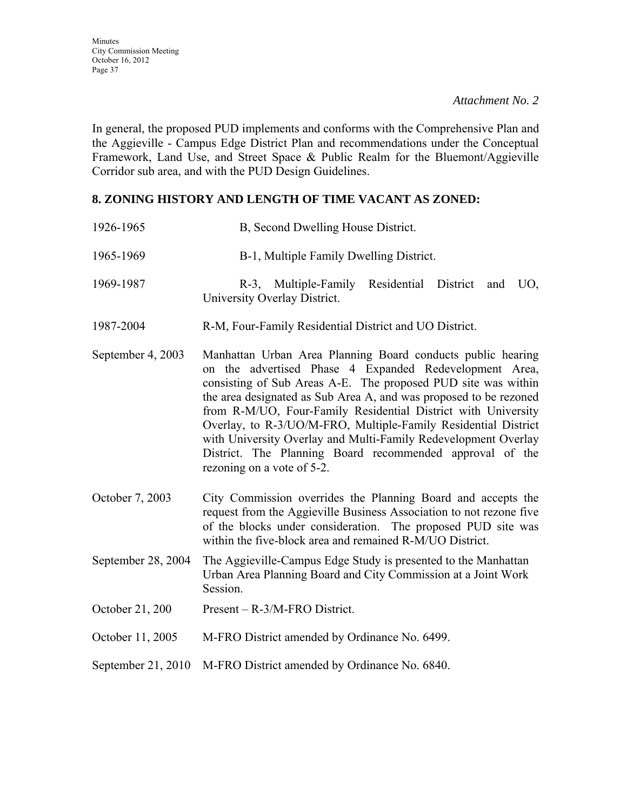In general, the proposed PUD implements and conforms with the Comprehensive Plan and the Aggieville - Campus Edge District Plan and recommendations under the Conceptual Framework, Land Use, and Street Space & Public Realm for the Bluemont/Aggieville Corridor sub area, and with the PUD Design Guidelines.

## **8. ZONING HISTORY AND LENGTH OF TIME VACANT AS ZONED:**

- 1926-1965 B, Second Dwelling House District.
- 1965-1969 B-1, Multiple Family Dwelling District.
- 1969-1987 R-3, Multiple-Family Residential District and UO, University Overlay District.
- 1987-2004 R-M, Four-Family Residential District and UO District.
- September 4, 2003 Manhattan Urban Area Planning Board conducts public hearing on the advertised Phase 4 Expanded Redevelopment Area, consisting of Sub Areas A-E. The proposed PUD site was within the area designated as Sub Area A, and was proposed to be rezoned from R-M/UO, Four-Family Residential District with University Overlay, to R-3/UO/M-FRO, Multiple-Family Residential District with University Overlay and Multi-Family Redevelopment Overlay District. The Planning Board recommended approval of the rezoning on a vote of 5-2.
- October 7, 2003 City Commission overrides the Planning Board and accepts the request from the Aggieville Business Association to not rezone five of the blocks under consideration. The proposed PUD site was within the five-block area and remained R-M/UO District.
- September 28, 2004 The Aggieville-Campus Edge Study is presented to the Manhattan Urban Area Planning Board and City Commission at a Joint Work Session.
- October 21, 200 Present R-3/M-FRO District.
- October 11, 2005 M-FRO District amended by Ordinance No. 6499.
- September 21, 2010 M-FRO District amended by Ordinance No. 6840.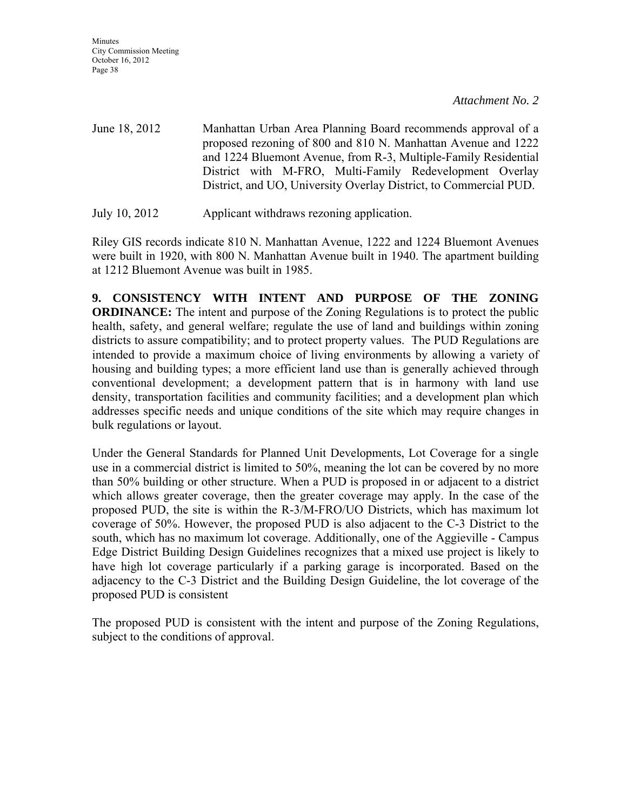**Minutes** City Commission Meeting October 16, 2012 Page 38

*Attachment No. 2* 

June 18, 2012 Manhattan Urban Area Planning Board recommends approval of a proposed rezoning of 800 and 810 N. Manhattan Avenue and 1222 and 1224 Bluemont Avenue, from R-3, Multiple-Family Residential District with M-FRO, Multi-Family Redevelopment Overlay District, and UO, University Overlay District, to Commercial PUD.

July 10, 2012 Applicant withdraws rezoning application.

Riley GIS records indicate 810 N. Manhattan Avenue, 1222 and 1224 Bluemont Avenues were built in 1920, with 800 N. Manhattan Avenue built in 1940. The apartment building at 1212 Bluemont Avenue was built in 1985.

**9. CONSISTENCY WITH INTENT AND PURPOSE OF THE ZONING ORDINANCE:** The intent and purpose of the Zoning Regulations is to protect the public health, safety, and general welfare; regulate the use of land and buildings within zoning districts to assure compatibility; and to protect property values. The PUD Regulations are intended to provide a maximum choice of living environments by allowing a variety of housing and building types; a more efficient land use than is generally achieved through conventional development; a development pattern that is in harmony with land use density, transportation facilities and community facilities; and a development plan which addresses specific needs and unique conditions of the site which may require changes in bulk regulations or layout.

Under the General Standards for Planned Unit Developments, Lot Coverage for a single use in a commercial district is limited to 50%, meaning the lot can be covered by no more than 50% building or other structure. When a PUD is proposed in or adjacent to a district which allows greater coverage, then the greater coverage may apply. In the case of the proposed PUD, the site is within the R-3/M-FRO/UO Districts, which has maximum lot coverage of 50%. However, the proposed PUD is also adjacent to the C-3 District to the south, which has no maximum lot coverage. Additionally, one of the Aggieville - Campus Edge District Building Design Guidelines recognizes that a mixed use project is likely to have high lot coverage particularly if a parking garage is incorporated. Based on the adjacency to the C-3 District and the Building Design Guideline, the lot coverage of the proposed PUD is consistent

The proposed PUD is consistent with the intent and purpose of the Zoning Regulations, subject to the conditions of approval.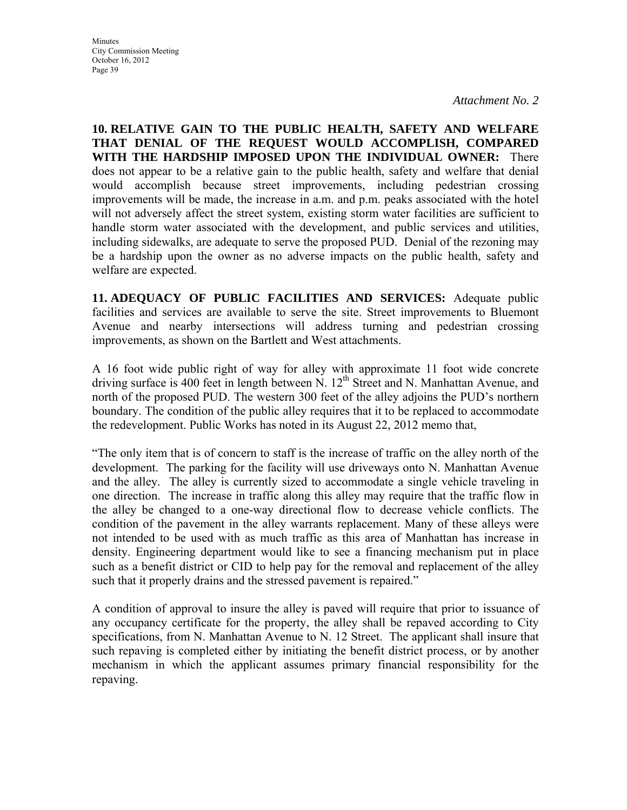**Minutes** City Commission Meeting October 16, 2012 Page 39

*Attachment No. 2* 

**10. RELATIVE GAIN TO THE PUBLIC HEALTH, SAFETY AND WELFARE THAT DENIAL OF THE REQUEST WOULD ACCOMPLISH, COMPARED WITH THE HARDSHIP IMPOSED UPON THE INDIVIDUAL OWNER:** There does not appear to be a relative gain to the public health, safety and welfare that denial would accomplish because street improvements, including pedestrian crossing improvements will be made, the increase in a.m. and p.m. peaks associated with the hotel will not adversely affect the street system, existing storm water facilities are sufficient to handle storm water associated with the development, and public services and utilities, including sidewalks, are adequate to serve the proposed PUD. Denial of the rezoning may be a hardship upon the owner as no adverse impacts on the public health, safety and welfare are expected.

**11. ADEQUACY OF PUBLIC FACILITIES AND SERVICES:** Adequate public facilities and services are available to serve the site. Street improvements to Bluemont Avenue and nearby intersections will address turning and pedestrian crossing improvements, as shown on the Bartlett and West attachments.

A 16 foot wide public right of way for alley with approximate 11 foot wide concrete driving surface is 400 feet in length between N.  $12<sup>th</sup>$  Street and N. Manhattan Avenue, and north of the proposed PUD. The western 300 feet of the alley adjoins the PUD's northern boundary. The condition of the public alley requires that it to be replaced to accommodate the redevelopment. Public Works has noted in its August 22, 2012 memo that,

"The only item that is of concern to staff is the increase of traffic on the alley north of the development. The parking for the facility will use driveways onto N. Manhattan Avenue and the alley. The alley is currently sized to accommodate a single vehicle traveling in one direction. The increase in traffic along this alley may require that the traffic flow in the alley be changed to a one-way directional flow to decrease vehicle conflicts. The condition of the pavement in the alley warrants replacement. Many of these alleys were not intended to be used with as much traffic as this area of Manhattan has increase in density. Engineering department would like to see a financing mechanism put in place such as a benefit district or CID to help pay for the removal and replacement of the alley such that it properly drains and the stressed pavement is repaired."

A condition of approval to insure the alley is paved will require that prior to issuance of any occupancy certificate for the property, the alley shall be repaved according to City specifications, from N. Manhattan Avenue to N. 12 Street. The applicant shall insure that such repaving is completed either by initiating the benefit district process, or by another mechanism in which the applicant assumes primary financial responsibility for the repaving.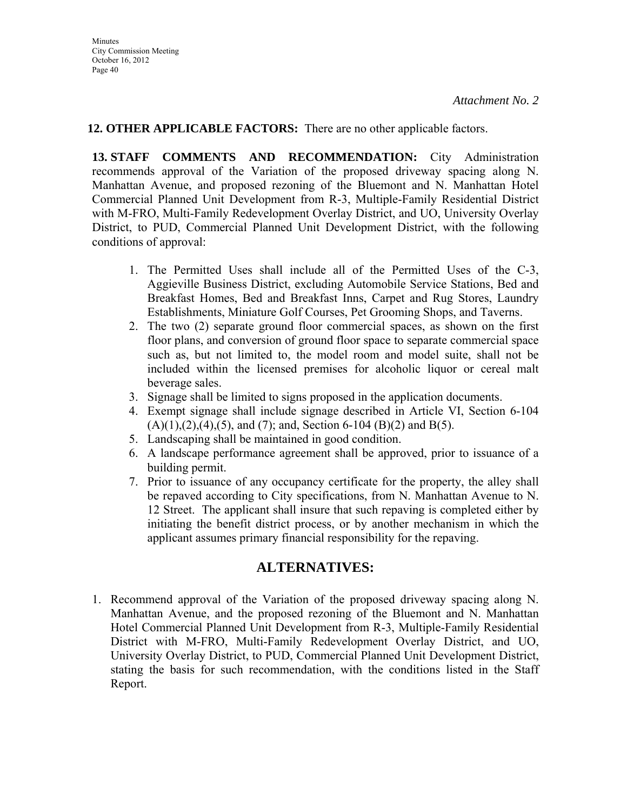# **12. OTHER APPLICABLE FACTORS:** There are no other applicable factors.

**13. STAFF COMMENTS AND RECOMMENDATION:** City Administration recommends approval of the Variation of the proposed driveway spacing along N. Manhattan Avenue, and proposed rezoning of the Bluemont and N. Manhattan Hotel Commercial Planned Unit Development from R-3, Multiple-Family Residential District with M-FRO, Multi-Family Redevelopment Overlay District, and UO, University Overlay District, to PUD, Commercial Planned Unit Development District, with the following conditions of approval:

- 1. The Permitted Uses shall include all of the Permitted Uses of the C-3, Aggieville Business District, excluding Automobile Service Stations, Bed and Breakfast Homes, Bed and Breakfast Inns, Carpet and Rug Stores, Laundry Establishments, Miniature Golf Courses, Pet Grooming Shops, and Taverns.
- 2. The two (2) separate ground floor commercial spaces, as shown on the first floor plans, and conversion of ground floor space to separate commercial space such as, but not limited to, the model room and model suite, shall not be included within the licensed premises for alcoholic liquor or cereal malt beverage sales.
- 3. Signage shall be limited to signs proposed in the application documents.
- 4. Exempt signage shall include signage described in Article VI, Section 6-104  $(A)(1),(2),(4),(5)$ , and  $(7)$ ; and, Section 6-104  $(B)(2)$  and  $B(5)$ .
- 5. Landscaping shall be maintained in good condition.
- 6. A landscape performance agreement shall be approved, prior to issuance of a building permit.
- 7. Prior to issuance of any occupancy certificate for the property, the alley shall be repaved according to City specifications, from N. Manhattan Avenue to N. 12 Street. The applicant shall insure that such repaving is completed either by initiating the benefit district process, or by another mechanism in which the applicant assumes primary financial responsibility for the repaving.

# **ALTERNATIVES:**

1. Recommend approval of the Variation of the proposed driveway spacing along N. Manhattan Avenue, and the proposed rezoning of the Bluemont and N. Manhattan Hotel Commercial Planned Unit Development from R-3, Multiple-Family Residential District with M-FRO, Multi-Family Redevelopment Overlay District, and UO, University Overlay District, to PUD, Commercial Planned Unit Development District, stating the basis for such recommendation, with the conditions listed in the Staff Report.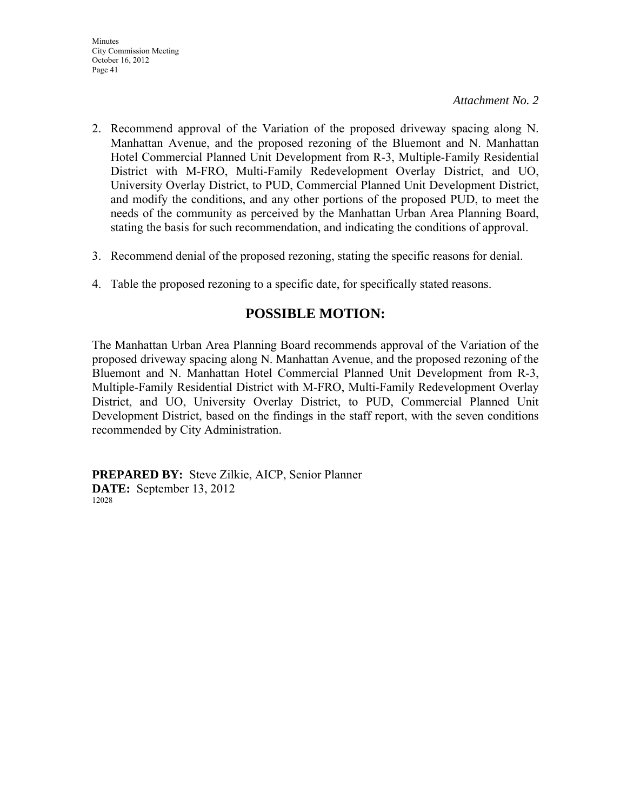- 2. Recommend approval of the Variation of the proposed driveway spacing along N. Manhattan Avenue, and the proposed rezoning of the Bluemont and N. Manhattan Hotel Commercial Planned Unit Development from R-3, Multiple-Family Residential District with M-FRO, Multi-Family Redevelopment Overlay District, and UO, University Overlay District, to PUD, Commercial Planned Unit Development District, and modify the conditions, and any other portions of the proposed PUD, to meet the needs of the community as perceived by the Manhattan Urban Area Planning Board, stating the basis for such recommendation, and indicating the conditions of approval.
- 3. Recommend denial of the proposed rezoning, stating the specific reasons for denial.
- 4. Table the proposed rezoning to a specific date, for specifically stated reasons.

# **POSSIBLE MOTION:**

The Manhattan Urban Area Planning Board recommends approval of the Variation of the proposed driveway spacing along N. Manhattan Avenue, and the proposed rezoning of the Bluemont and N. Manhattan Hotel Commercial Planned Unit Development from R-3, Multiple-Family Residential District with M-FRO, Multi-Family Redevelopment Overlay District, and UO, University Overlay District, to PUD, Commercial Planned Unit Development District, based on the findings in the staff report, with the seven conditions recommended by City Administration.

**PREPARED BY:** Steve Zilkie, AICP, Senior Planner **DATE:** September 13, 2012 12028